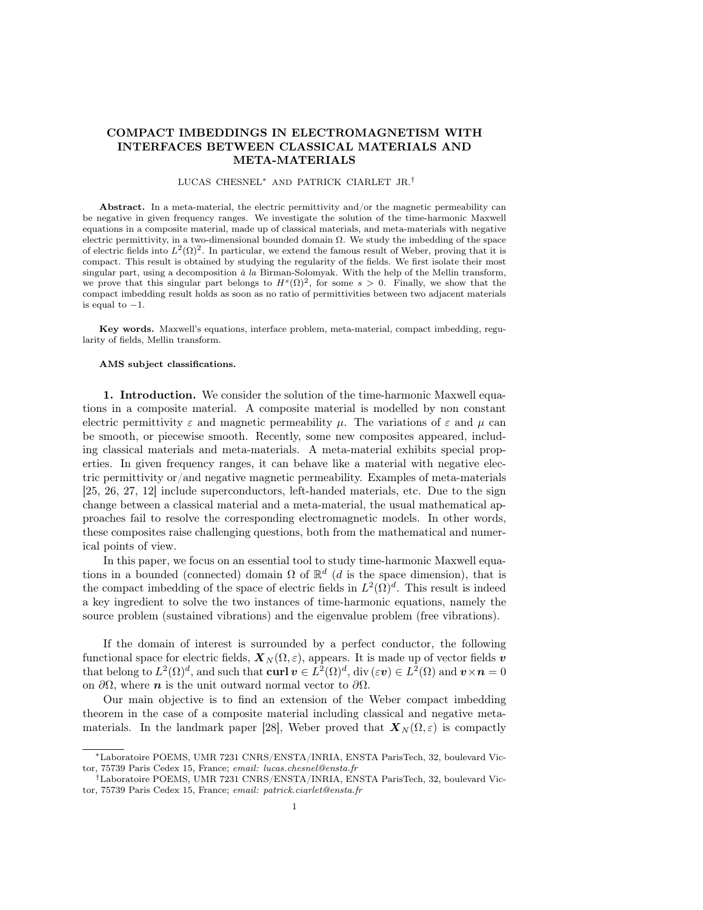# COMPACT IMBEDDINGS IN ELECTROMAGNETISM WITH INTERFACES BETWEEN CLASSICAL MATERIALS AND META-MATERIALS

## LUCAS CHESNEL<sup>∗</sup> AND PATRICK CIARLET JR.†

Abstract. In a meta-material, the electric permittivity and/or the magnetic permeability can be negative in given frequency ranges. We investigate the solution of the time-harmonic Maxwell equations in a composite material, made up of classical materials, and meta-materials with negative electric permittivity, in a two-dimensional bounded domain  $\Omega$ . We study the imbedding of the space of electric fields into  $L^2(\Omega)^2$ . In particular, we extend the famous result of Weber, proving that it is compact. This result is obtained by studying the regularity of the fields. We first isolate their most singular part, using a decomposition  $\dot{a}$  la Birman-Solomyak. With the help of the Mellin transform, we prove that this singular part belongs to  $H^s(\Omega)^2$ , for some  $s > 0$ . Finally, we show that the compact imbedding result holds as soon as no ratio of permittivities between two adjacent materials is equal to  $-1$ .

Key words. Maxwell's equations, interface problem, meta-material, compact imbedding, regularity of fields, Mellin transform.

#### AMS subject classifications.

1. Introduction. We consider the solution of the time-harmonic Maxwell equations in a composite material. A composite material is modelled by non constant electric permittivity  $\varepsilon$  and magnetic permeability  $\mu$ . The variations of  $\varepsilon$  and  $\mu$  can be smooth, or piecewise smooth. Recently, some new composites appeared, including classical materials and meta-materials. A meta-material exhibits special properties. In given frequency ranges, it can behave like a material with negative electric permittivity or/and negative magnetic permeability. Examples of meta-materials [25, 26, 27, 12] include superconductors, left-handed materials, etc. Due to the sign change between a classical material and a meta-material, the usual mathematical approaches fail to resolve the corresponding electromagnetic models. In other words, these composites raise challenging questions, both from the mathematical and numerical points of view.

In this paper, we focus on an essential tool to study time-harmonic Maxwell equations in a bounded (connected) domain  $\Omega$  of  $\mathbb{R}^d$  (d is the space dimension), that is the compact imbedding of the space of electric fields in  $L^2(\Omega)^d$ . This result is indeed a key ingredient to solve the two instances of time-harmonic equations, namely the source problem (sustained vibrations) and the eigenvalue problem (free vibrations).

If the domain of interest is surrounded by a perfect conductor, the following functional space for electric fields,  $\mathbf{X}_N(\Omega,\varepsilon)$ , appears. It is made up of vector fields v that belong to  $L^2(\Omega)^d$ , and such that  $\text{curl } \boldsymbol{v} \in L^2(\Omega)^d$ , div $(\varepsilon \boldsymbol{v}) \in L^2(\Omega)$  and  $\boldsymbol{v} \times \boldsymbol{n} = 0$ on  $\partial\Omega$ , where *n* is the unit outward normal vector to  $\partial\Omega$ .

Our main objective is to find an extension of the Weber compact imbedding theorem in the case of a composite material including classical and negative metamaterials. In the landmark paper [28], Weber proved that  $\mathbf{X}_N(\Omega,\varepsilon)$  is compactly

<sup>∗</sup>Laboratoire POEMS, UMR 7231 CNRS/ENSTA/INRIA, ENSTA ParisTech, 32, boulevard Victor, 75739 Paris Cedex 15, France; email: lucas.chesnel@ensta.fr

<sup>†</sup>Laboratoire POEMS, UMR 7231 CNRS/ENSTA/INRIA, ENSTA ParisTech, 32, boulevard Victor, 75739 Paris Cedex 15, France; email: patrick.ciarlet@ensta.fr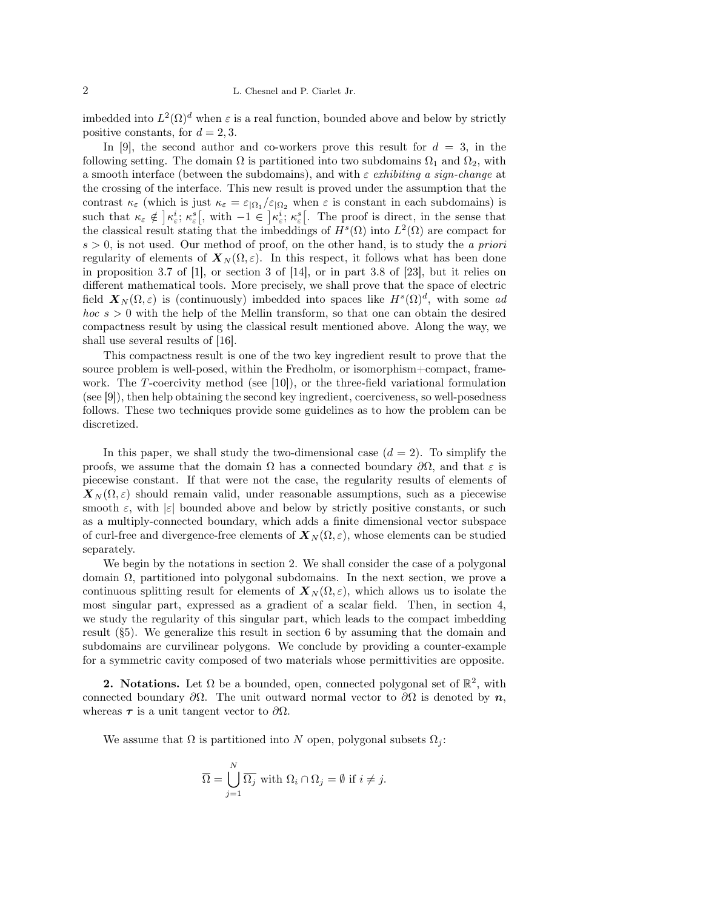imbedded into  $L^2(\Omega)^d$  when  $\varepsilon$  is a real function, bounded above and below by strictly positive constants, for  $d = 2, 3$ .

In [9], the second author and co-workers prove this result for  $d = 3$ , in the following setting. The domain  $\Omega$  is partitioned into two subdomains  $\Omega_1$  and  $\Omega_2$ , with a smooth interface (between the subdomains), and with  $\varepsilon$  exhibiting a sign-change at the crossing of the interface. This new result is proved under the assumption that the contrast  $\kappa_{\varepsilon}$  (which is just  $\kappa_{\varepsilon} = \varepsilon_{\vert \Omega_1}/\varepsilon_{\vert \Omega_2}$  when  $\varepsilon$  is constant in each subdomains) is such that  $\kappa_{\varepsilon} \notin \left] \kappa_{\varepsilon}^{i} ; \kappa_{\varepsilon}^{s} \right[$ , with  $-1 \in \left] \kappa_{\varepsilon}^{i} ; \kappa_{\varepsilon}^{s} \right[$ . The proof is direct, in the sense that the classical result stating that the imbeddings of  $H^s(\Omega)$  into  $L^2(\Omega)$  are compact for  $s > 0$ , is not used. Our method of proof, on the other hand, is to study the *a priori* regularity of elements of  $\mathbf{X}_{N}(\Omega,\varepsilon)$ . In this respect, it follows what has been done in proposition 3.7 of [1], or section 3 of [14], or in part 3.8 of [23], but it relies on different mathematical tools. More precisely, we shall prove that the space of electric field  $\mathbf{X}_N(\Omega,\varepsilon)$  is (continuously) imbedded into spaces like  $H^s(\Omega)^d$ , with some ad  $hoc s > 0$  with the help of the Mellin transform, so that one can obtain the desired compactness result by using the classical result mentioned above. Along the way, we shall use several results of [16].

This compactness result is one of the two key ingredient result to prove that the source problem is well-posed, within the Fredholm, or isomorphism+compact, framework. The T-coercivity method (see  $|10|$ ), or the three-field variational formulation (see [9]), then help obtaining the second key ingredient, coerciveness, so well-posedness follows. These two techniques provide some guidelines as to how the problem can be discretized.

In this paper, we shall study the two-dimensional case  $(d = 2)$ . To simplify the proofs, we assume that the domain  $\Omega$  has a connected boundary  $\partial\Omega$ , and that  $\varepsilon$  is piecewise constant. If that were not the case, the regularity results of elements of  $\mathbf{X}_N(\Omega,\varepsilon)$  should remain valid, under reasonable assumptions, such as a piecewise smooth  $\varepsilon$ , with  $|\varepsilon|$  bounded above and below by strictly positive constants, or such as a multiply-connected boundary, which adds a finite dimensional vector subspace of curl-free and divergence-free elements of  $\mathbf{X}_N(\Omega,\varepsilon)$ , whose elements can be studied separately.

We begin by the notations in section 2. We shall consider the case of a polygonal domain  $\Omega$ , partitioned into polygonal subdomains. In the next section, we prove a continuous splitting result for elements of  $\mathbf{X}_N(\Omega,\varepsilon)$ , which allows us to isolate the most singular part, expressed as a gradient of a scalar field. Then, in section 4, we study the regularity of this singular part, which leads to the compact imbedding result (§5). We generalize this result in section 6 by assuming that the domain and subdomains are curvilinear polygons. We conclude by providing a counter-example for a symmetric cavity composed of two materials whose permittivities are opposite.

**2.** Notations. Let  $\Omega$  be a bounded, open, connected polygonal set of  $\mathbb{R}^2$ , with connected boundary  $\partial\Omega$ . The unit outward normal vector to  $\partial\Omega$  is denoted by  $n$ , whereas  $\tau$  is a unit tangent vector to  $\partial\Omega$ .

We assume that  $\Omega$  is partitioned into N open, polygonal subsets  $\Omega_i$ :

$$
\overline{\Omega} = \bigcup_{j=1}^{N} \overline{\Omega_j} \text{ with } \Omega_i \cap \Omega_j = \emptyset \text{ if } i \neq j.
$$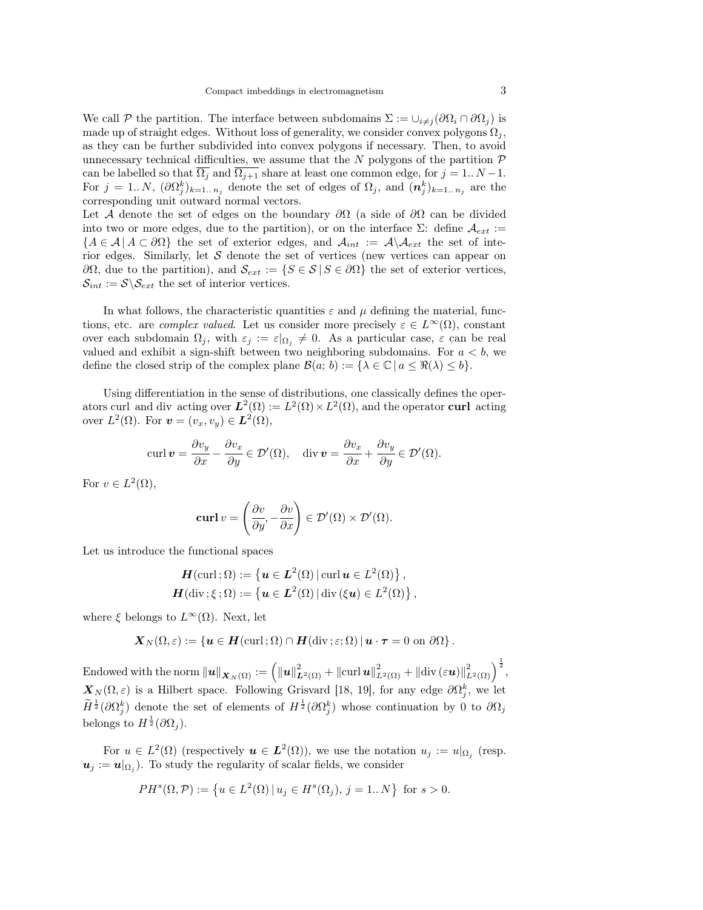We call P the partition. The interface between subdomains  $\Sigma := \cup_{i \neq j} (\partial \Omega_i \cap \partial \Omega_j)$  is made up of straight edges. Without loss of generality, we consider convex polygons  $\Omega_i$ , as they can be further subdivided into convex polygons if necessary. Then, to avoid unnecessary technical difficulties, we assume that the N polygons of the partition  $\mathcal P$ can be labelled so that  $\Omega_j$  and  $\Omega_{j+1}$  share at least one common edge, for  $j = 1..N - 1$ . For  $j = 1..N$ ,  $(\partial \Omega_j^k)_{k=1..n_j}$  denote the set of edges of  $\Omega_j$ , and  $(\mathbf{n}_j^k)_{k=1..n_j}$  are the corresponding unit outward normal vectors.

Let A denote the set of edges on the boundary  $\partial\Omega$  (a side of  $\partial\Omega$  can be divided into two or more edges, due to the partition), or on the interface  $\Sigma$ : define  $\mathcal{A}_{ext}$  :=  ${A \in \mathcal{A} \mid A \subset \partial\Omega}$  the set of exterior edges, and  $\mathcal{A}_{int} := \mathcal{A} \setminus \mathcal{A}_{ext}$  the set of interior edges. Similarly, let  $S$  denote the set of vertices (new vertices can appear on  $∂Ω$ , due to the partition), and  $\mathcal{S}_{ext} := \{ S \in \mathcal{S} | S \in ∂Ω \}$  the set of exterior vertices,  $\mathcal{S}_{int} := \mathcal{S} \backslash \mathcal{S}_{ext}$  the set of interior vertices.

In what follows, the characteristic quantities  $\varepsilon$  and  $\mu$  defining the material, functions, etc. are *complex valued*. Let us consider more precisely  $\varepsilon \in L^{\infty}(\Omega)$ , constant over each subdomain  $\Omega_j$ , with  $\varepsilon_j := \varepsilon|_{\Omega_j} \neq 0$ . As a particular case,  $\varepsilon$  can be real valued and exhibit a sign-shift between two neighboring subdomains. For  $a < b$ , we define the closed strip of the complex plane  $\mathcal{B}(a; b) := {\lambda \in \mathbb{C} \mid a \leq \Re(\lambda) \leq b}.$ 

Using differentiation in the sense of distributions, one classically defines the operators curl and div acting over  $L^2(\Omega) := L^2(\Omega) \times L^2(\Omega)$ , and the operator curl acting over  $L^2(\Omega)$ . For  $\mathbf{v} = (v_x, v_y) \in \mathbf{L}^2(\Omega)$ ,

$$
\operatorname{curl} \boldsymbol{v} = \frac{\partial v_y}{\partial x} - \frac{\partial v_x}{\partial y} \in \mathcal{D}'(\Omega), \quad \operatorname{div} \boldsymbol{v} = \frac{\partial v_x}{\partial x} + \frac{\partial v_y}{\partial y} \in \mathcal{D}'(\Omega).
$$

For  $v \in L^2(\Omega)$ ,

$$
\operatorname{\mathbf{curl}} v = \left(\frac{\partial v}{\partial y}, -\frac{\partial v}{\partial x}\right) \in \mathcal{D}'(\Omega) \times \mathcal{D}'(\Omega).
$$

Let us introduce the functional spaces

$$
\boldsymbol{H}(\text{curl};\Omega) := \left\{ \boldsymbol{u} \in \boldsymbol{L}^2(\Omega) \, | \, \text{curl } \boldsymbol{u} \in L^2(\Omega) \right\},
$$
  

$$
\boldsymbol{H}(\text{div}; \xi; \Omega) := \left\{ \boldsymbol{u} \in \boldsymbol{L}^2(\Omega) \, | \, \text{div}(\xi \boldsymbol{u}) \in L^2(\Omega) \right\},
$$

where  $\xi$  belongs to  $L^{\infty}(\Omega)$ . Next, let

$$
\boldsymbol{X}_N(\Omega,\varepsilon):=\{\boldsymbol{u}\in\boldsymbol{H}(\mathrm{curl}\,;\Omega)\cap\boldsymbol{H}(\mathrm{div}\,;\varepsilon;\Omega)\,|\,\boldsymbol{u}\cdot\boldsymbol{\tau}=0\,\,\text{on}\,\,\partial\Omega\}\,.
$$

 $\text{Endowed with the norm } \|\boldsymbol{u}\|_{\boldsymbol{X}_N(\Omega)} := \Big(\|\boldsymbol{u}\|_{\boldsymbol{L}^2(\Omega)}^2 + \|\text{curl}\,\boldsymbol{u}\|_{L^2(\Omega)}^2 + \|\text{div}\,(\varepsilon\boldsymbol{u})\|_{L^2(\Omega)}^2\Big)^\frac{1}{2},$  $\mathbf{X}_N(\Omega,\varepsilon)$  is a Hilbert space. Following Grisvard [18, 19], for any edge  $\partial\Omega_j^k$ , we let  $\widetilde{H}^{\frac{1}{2}}(\partial \Omega_j^k)$  denote the set of elements of  $H^{\frac{1}{2}}(\partial \Omega_j^k)$  whose continuation by 0 to  $\partial \Omega_j$ belongs to  $H^{\frac{1}{2}}(\partial \Omega_j)$ .

For  $u \in L^2(\Omega)$  (respectively  $u \in L^2(\Omega)$ ), we use the notation  $u_j := u|_{\Omega_j}$  (resp.  $u_j := u|_{\Omega_j}$ ). To study the regularity of scalar fields, we consider

$$
PH^{s}(\Omega, \mathcal{P}) := \{ u \in L^{2}(\Omega) | u_{j} \in H^{s}(\Omega_{j}), j = 1..N \} \text{ for } s > 0.
$$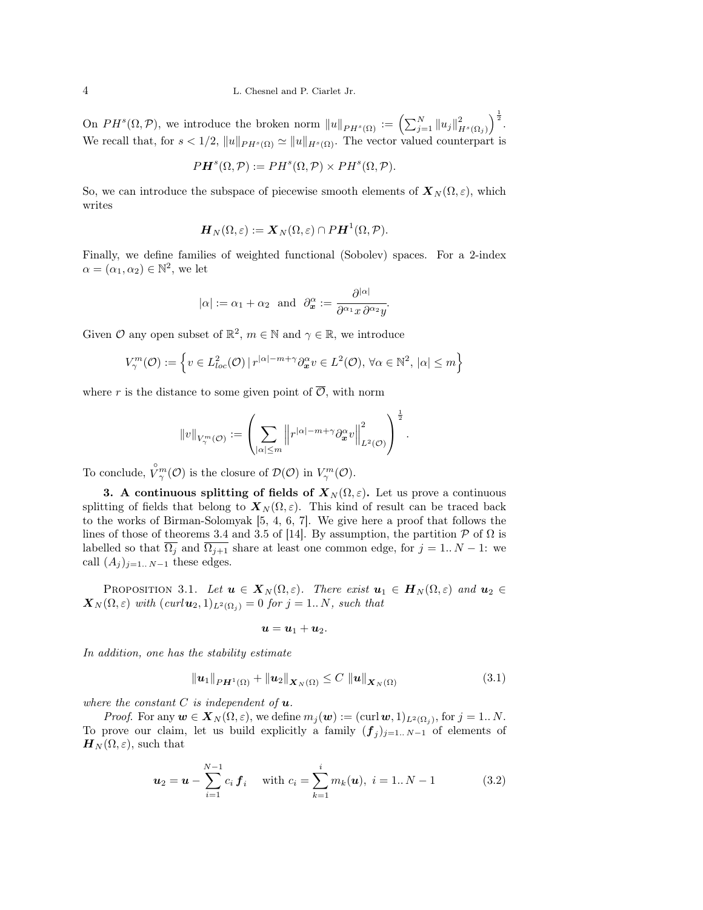On  $PH^s(\Omega, \mathcal{P})$ , we introduce the broken norm  $||u||_{PH^s(\Omega)} := \left(\sum_{j=1}^N ||u_j||^2_{H^s(\Omega_j)}\right)^{\frac{1}{2}}$ . We recall that, for  $s < 1/2$ ,  $||u||_{PH^s(\Omega)} \simeq ||u||_{H^s(\Omega)}$ . The vector valued counterpart is

$$
P\mathbf{H}^s(\Omega,\mathcal{P}) := PH^s(\Omega,\mathcal{P}) \times PH^s(\Omega,\mathcal{P}).
$$

So, we can introduce the subspace of piecewise smooth elements of  $\mathbf{X}_N(\Omega,\varepsilon)$ , which writes

$$
\boldsymbol{H}_N(\Omega,\varepsilon):=\boldsymbol{X}_N(\Omega,\varepsilon)\cap P\boldsymbol{H}^1(\Omega,\mathcal{P}).
$$

Finally, we define families of weighted functional (Sobolev) spaces. For a 2-index  $\alpha = (\alpha_1, \alpha_2) \in \mathbb{N}^2$ , we let

$$
|\alpha| := \alpha_1 + \alpha_2
$$
 and  $\partial_{\mathbf{x}}^{\alpha} := \frac{\partial^{|\alpha|}}{\partial^{\alpha_1} x \partial^{\alpha_2} y}$ .

Given  $\mathcal O$  any open subset of  $\mathbb R^2$ ,  $m \in \mathbb N$  and  $\gamma \in \mathbb R$ , we introduce

$$
V^m_\gamma(\mathcal{O}) := \left\{ v \in L^2_{loc}(\mathcal{O}) \, | \, r^{|\alpha|-m+\gamma} \partial_x^{\alpha} v \in L^2(\mathcal{O}), \, \forall \alpha \in \mathbb{N}^2, \, |\alpha| \le m \right\}
$$

where r is the distance to some given point of  $\overline{\mathcal{O}}$ , with norm

$$
\|v\|_{V_\gamma^m(\mathcal O)}:=\left(\sum_{|\alpha|\leq m}\left\|r^{|\alpha|-m+\gamma}\partial_x^\alpha v\right\|_{L^2(\mathcal O)}^2\right)^{\frac{1}{2}}.
$$

To conclude,  $\overset{\circ}{V}_{\gamma}^{m}(\mathcal{O})$  is the closure of  $\mathcal{D}(\mathcal{O})$  in  $V_{\gamma}^{m}(\mathcal{O})$ .

3. A continuous splitting of fields of  $X_N(\Omega, \varepsilon)$ . Let us prove a continuous splitting of fields that belong to  $\mathbf{X}_N(\Omega,\varepsilon)$ . This kind of result can be traced back to the works of Birman-Solomyak [5, 4, 6, 7]. We give here a proof that follows the lines of those of theorems 3.4 and 3.5 of [14]. By assumption, the partition  $P$  of  $\Omega$  is labelled so that  $\overline{\Omega_j}$  and  $\overline{\Omega_{j+1}}$  share at least one common edge, for  $j = 1..N - 1$ : we call  $(A_j)_{j=1..N-1}$  these edges.

PROPOSITION 3.1. Let  $u \in X_N(\Omega, \varepsilon)$ . There exist  $u_1 \in H_N(\Omega, \varepsilon)$  and  $u_2 \in$  $\mathbf{X}_{N}(\Omega,\varepsilon)$  with  $(\text{curl}\,\mathbf{u}_2,1)_{L^2(\Omega_i)}=0$  for  $j=1..N$ , such that

$$
\boldsymbol{u}=\boldsymbol{u}_1+\boldsymbol{u}_2.
$$

In addition, one has the stability estimate

$$
\|\boldsymbol{u}_1\|_{PH^1(\Omega)} + \|\boldsymbol{u}_2\|_{\boldsymbol{X}_N(\Omega)} \le C \|\boldsymbol{u}\|_{\boldsymbol{X}_N(\Omega)} \tag{3.1}
$$

where the constant  $C$  is independent of  $\boldsymbol{u}$ .

*Proof.* For any  $\mathbf{w} \in \mathbf{X}_N(\Omega, \varepsilon)$ , we define  $m_j(\mathbf{w}) := (\text{curl } \mathbf{w}, 1)_{L^2(\Omega_j)}$ , for  $j = 1...N$ . To prove our claim, let us build explicitly a family  $(f_j)_{j=1..N-1}$  of elements of  $\mathbf{H}_{N}(\Omega,\varepsilon)$ , such that

$$
\boldsymbol{u}_2 = \boldsymbol{u} - \sum_{i=1}^{N-1} c_i \boldsymbol{f}_i \quad \text{with } c_i = \sum_{k=1}^i m_k(\boldsymbol{u}), \ i = 1..N-1 \tag{3.2}
$$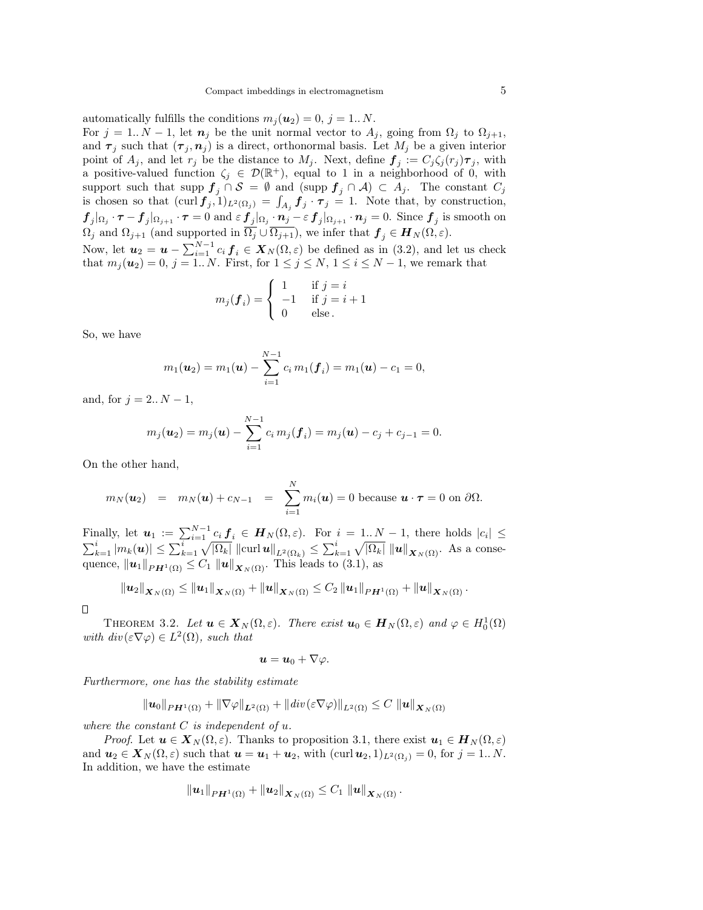automatically fulfills the conditions  $m_j(\mathbf{u}_2) = 0, j = 1..N$ . For  $j = 1..N - 1$ , let  $n_j$  be the unit normal vector to  $A_j$ , going from  $\Omega_j$  to  $\Omega_{j+1}$ , and  $\tau_j$  such that  $(\tau_j, n_j)$  is a direct, orthonormal basis. Let  $M_j$  be a given interior point of  $A_j$ , and let  $r_j$  be the distance to  $M_j$ . Next, define  $\boldsymbol{f}_j := C_j \zeta_j(r_j) \boldsymbol{\tau}_j$ , with a positive-valued function  $\zeta_j \in \mathcal{D}(\mathbb{R}^+)$ , equal to 1 in a neighborhood of 0, with support such that supp  $f_j \cap S = \emptyset$  and  $(\text{supp } f_j \cap A) \subset A_j$ . The constant  $C_j$ is chosen so that  $(\text{curl } \mathbf{f}_j, 1)_{L^2(\Omega_j)} = \int_{A_j} \mathbf{f}_j \cdot \boldsymbol{\tau}_j = 1$ . Note that, by construction,  $f_j|_{\Omega_j} \cdot \tau - f_j|_{\Omega_{j+1}} \cdot \tau = 0$  and  $\varepsilon f_j|_{\Omega_j} \cdot n_j - \varepsilon f_j|_{\Omega_{j+1}} \cdot n_j = 0$ . Since  $f_j$  is smooth on  $\Omega_j$  and  $\Omega_{j+1}$  (and supported in  $\Omega_j \cup \Omega_{j+1}$ ), we infer that  $\mathbf{f}_j \in \mathbf{H}_N(\Omega, \varepsilon)$ . Now, let  $u_2 = u - \sum_{i=1}^{N-1} c_i f_i \in X_N(\Omega, \varepsilon)$  be defined as in (3.2), and let us check

that  $m_j(\mathbf{u}_2) = 0, j = 1..N$ . First, for  $1 \leq j \leq N, 1 \leq i \leq N-1$ , we remark that

$$
m_j(\boldsymbol{f}_i) = \begin{cases} 1 & \text{if } j = i \\ -1 & \text{if } j = i + 1 \\ 0 & \text{else.} \end{cases}
$$

So, we have

$$
m_1(\boldsymbol{u}_2)=m_1(\boldsymbol{u})-\sum_{i=1}^{N-1}c_i\,m_1(\boldsymbol{f}_i)=m_1(\boldsymbol{u})-c_1=0,
$$

and, for  $j = 2..N - 1$ ,

$$
m_j(\boldsymbol{u}_2) = m_j(\boldsymbol{u}) - \sum_{i=1}^{N-1} c_i m_j(\boldsymbol{f}_i) = m_j(\boldsymbol{u}) - c_j + c_{j-1} = 0.
$$

On the other hand,

$$
m_N(\boldsymbol{u}_2) = m_N(\boldsymbol{u}) + c_{N-1} = \sum_{i=1}^N m_i(\boldsymbol{u}) = 0
$$
 because  $\boldsymbol{u} \cdot \boldsymbol{\tau} = 0$  on  $\partial \Omega$ .

Finally, let  $u_1 := \sum_{i=1}^{N-1} c_i f_i \in H_N(\Omega, \varepsilon)$ . For  $i = 1..N-1$ , there holds  $|c_i| \leq$  $\sum_{k=1}^i |m_k(\boldsymbol{u})| \leq \sum_{k=1}^i \sqrt{|\Omega_k|} ||\text{curl } \boldsymbol{u}||_{L^2(\Omega_k)} \leq \sum_{k=1}^i \sqrt{|\Omega_k|} ||\boldsymbol{u}||_{\boldsymbol{X}_N(\Omega)}$ . As a consequence,  $\|\mathbf{u}_1\|_{PH^1(\Omega)} \leq C_1 \|\mathbf{u}\|_{\mathbf{X}_N(\Omega)}$ . This leads to (3.1), as

$$
\|u_2\|_{\mathbf{X}_N(\Omega)} \leq \|u_1\|_{\mathbf{X}_N(\Omega)} + \|u\|_{\mathbf{X}_N(\Omega)} \leq C_2 \|u_1\|_{PH^1(\Omega)} + \|u\|_{\mathbf{X}_N(\Omega)}.
$$

 $\Box$ 

THEOREM 3.2. Let  $u \in X_N(\Omega, \varepsilon)$ . There exist  $u_0 \in H_N(\Omega, \varepsilon)$  and  $\varphi \in H_0^1(\Omega)$ with  $div(\varepsilon \nabla \varphi) \in L^2(\Omega)$ , such that

$$
\boldsymbol{u}=\boldsymbol{u}_0+\nabla\varphi.
$$

Furthermore, one has the stability estimate

$$
\|u_0\|_{PH^1(\Omega)} + \|\nabla \varphi\|_{L^2(\Omega)} + \|div(\varepsilon \nabla \varphi)\|_{L^2(\Omega)} \leq C \|u\|_{X_N(\Omega)}
$$

where the constant  $C$  is independent of  $u$ .

*Proof.* Let  $u \in X_N(\Omega, \varepsilon)$ . Thanks to proposition 3.1, there exist  $u_1 \in H_N(\Omega, \varepsilon)$ and  $u_2 \in X_N(\Omega, \varepsilon)$  such that  $u = u_1 + u_2$ , with  $(\text{curl } u_2, 1)_{L^2(\Omega_i)} = 0$ , for  $j = 1...N$ . In addition, we have the estimate

$$
\Vert \boldsymbol{u}_1\Vert_{PH^1(\Omega)}+\Vert \boldsymbol{u}_2\Vert_{\boldsymbol{X}_N(\Omega)}\leq C_1\ \Vert \boldsymbol{u}\Vert_{\boldsymbol{X}_N(\Omega)}\,.
$$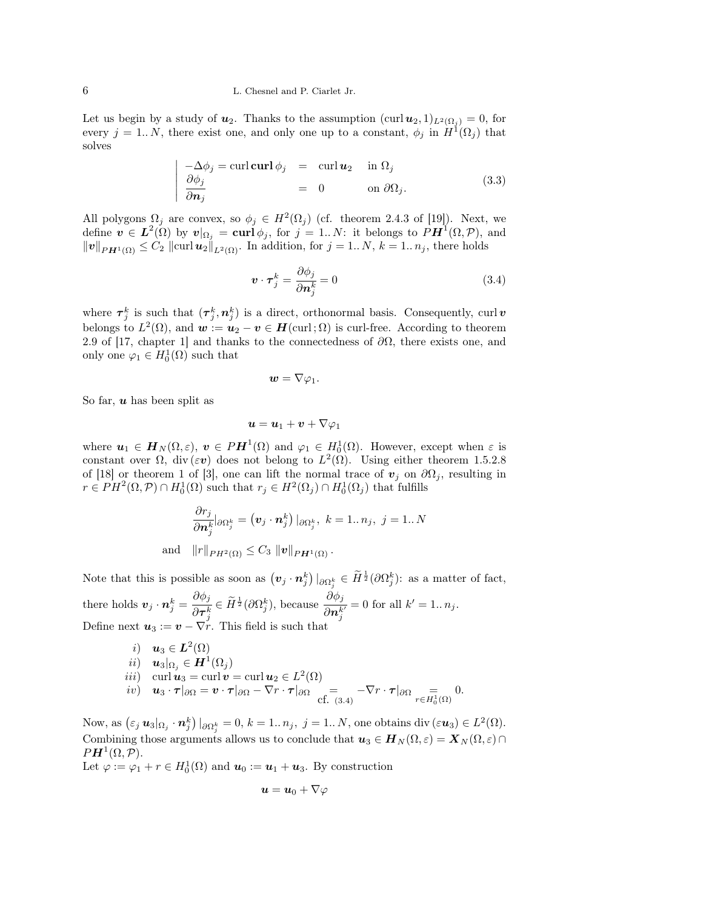Let us begin by a study of  $u_2$ . Thanks to the assumption  $(\text{curl } u_2, 1)_{L^2(\Omega_i)} = 0$ , for every  $j = 1..N$ , there exist one, and only one up to a constant,  $\phi_j$  in  $H^1(\Omega_j)$  that solves

$$
\begin{vmatrix}\n-\Delta \phi_j = \text{curl } \text{curl } \phi_j &= \text{curl } \mathbf{u}_2 & \text{in } \Omega_j \\
\frac{\partial \phi_j}{\partial \mathbf{n}_j} &= 0 & \text{on } \partial \Omega_j.\n\end{vmatrix}
$$
\n(3.3)

All polygons  $\Omega_j$  are convex, so  $\phi_j \in H^2(\Omega_j)$  (cf. theorem 2.4.3 of [19]). Next, we define  $\boldsymbol{v} \in \boldsymbol{L}^2(\Omega)$  by  $\boldsymbol{v}|_{\Omega_j} = \boldsymbol{\operatorname{curl}} \phi_j$ , for  $j = 1..N$ : it belongs to  $\tilde{P}\boldsymbol{H}^1(\Omega,\mathcal{P})$ , and  $||v||_{PH^1(\Omega)} \leq C_2 ||\text{curl } u_2||_{L^2(\Omega)}$ . In addition, for  $j = 1..N$ ,  $k = 1..n_j$ , there holds

$$
\boldsymbol{v} \cdot \boldsymbol{\tau}_j^k = \frac{\partial \phi_j}{\partial \boldsymbol{n}_j^k} = 0 \tag{3.4}
$$

where  $\tau_j^k$  is such that  $(\tau_j^k, n_j^k)$  is a direct, orthonormal basis. Consequently, curl v belongs to  $L^2(\Omega)$ , and  $\mathbf{w} := \mathbf{u}_2 - \mathbf{v} \in \mathbf{H}(\text{curl};\Omega)$  is curl-free. According to theorem 2.9 of [17, chapter 1] and thanks to the connectedness of  $\partial\Omega$ , there exists one, and only one  $\varphi_1 \in H_0^1(\Omega)$  such that

$$
\boldsymbol{w}=\nabla\varphi_1.
$$

So far,  $\boldsymbol{u}$  has been split as

$$
\bm{u}=\bm{u}_1+\bm{v}+\nabla\varphi_1
$$

where  $u_1 \in H_N(\Omega, \varepsilon)$ ,  $v \in PH^1(\Omega)$  and  $\varphi_1 \in H_0^1(\Omega)$ . However, except when  $\varepsilon$  is constant over  $\Omega$ , div $(\varepsilon v)$  does not belong to  $L^2(\Omega)$ . Using either theorem 1.5.2.8 of [18] or theorem 1 of [3], one can lift the normal trace of  $v_j$  on  $\partial\Omega_j$ , resulting in  $r \in PH^2(\Omega, \mathcal{P}) \cap H_0^1(\Omega)$  such that  $r_j \in H^2(\Omega_j) \cap H_0^1(\Omega_j)$  that fulfills

$$
\frac{\partial r_j}{\partial \mathbf{n}_j^k} |_{\partial \Omega_j^k} = (\mathbf{v}_j \cdot \mathbf{n}_j^k) |_{\partial \Omega_j^k}, \ k = 1..n_j, \ j = 1..N
$$
\nand\n
$$
||r||_{PH^2(\Omega)} \leq C_3 \, ||\mathbf{v}||_{PH^1(\Omega)}.
$$

Note that this is possible as soon as  $(\boldsymbol{v}_j \cdot \boldsymbol{n}_j^k) |_{\partial \Omega_j^k} \in \widetilde{H}^{\frac{1}{2}}(\partial \Omega_j^k)$ : as a matter of fact, there holds  $\mathbf{v}_j \cdot \mathbf{n}_j^k = \frac{\partial \phi_j}{\partial \mathbf{\pi}^k}$  $\frac{\partial \phi_j}{\partial \boldsymbol{\tau}_j^k} \in \widetilde{H}^{\frac{1}{2}}(\partial \Omega_j^k)$ , because  $\frac{\partial \phi_j}{\partial \boldsymbol{n}_j^k}$  $\partial \boldsymbol{n}_j^{k'}$  $= 0$  for all  $k' = 1... n_j$ . Define next  $u_3 := v - \nabla r$ . This field is such that

*i*) 
$$
\mathbf{u}_3 \in \mathbf{L}^2(\Omega)
$$
  
\n*ii*)  $\mathbf{u}_3|_{\Omega_j} \in \mathbf{H}^1(\Omega_j)$   
\n*iii*) curl  $\mathbf{u}_3 = \text{curl } \mathbf{v} = \text{curl } \mathbf{u}_2 \in L^2(\Omega)$   
\n*iv*)  $\mathbf{u}_3 \cdot \boldsymbol{\tau}|_{\partial \Omega} = \mathbf{v} \cdot \boldsymbol{\tau}|_{\partial \Omega} - \nabla r \cdot \boldsymbol{\tau}|_{\partial \Omega} = -\nabla r \cdot \boldsymbol{\tau}|_{\partial \Omega} = 0.$   
\n*cf.* (3.4)

Now, as  $(\varepsilon_j \mathbf{u}_3 |_{\Omega_j} \cdot \mathbf{n}_j^k) |_{\partial \Omega_j^k} = 0, k = 1..n_j, j = 1..N$ , one obtains div  $(\varepsilon \mathbf{u}_3) \in L^2(\Omega)$ . Combining those arguments allows us to conclude that  $u_3 \in H_N(\Omega, \varepsilon) = X_N(\Omega, \varepsilon) \cap$  $P\boldsymbol{H}^{1}(\Omega,\mathcal{P}).$ 

Let  $\varphi := \varphi_1 + r \in H_0^1(\Omega)$  and  $u_0 := u_1 + u_3$ . By construction

$$
\boldsymbol{u}=\boldsymbol{u}_0+\nabla\varphi
$$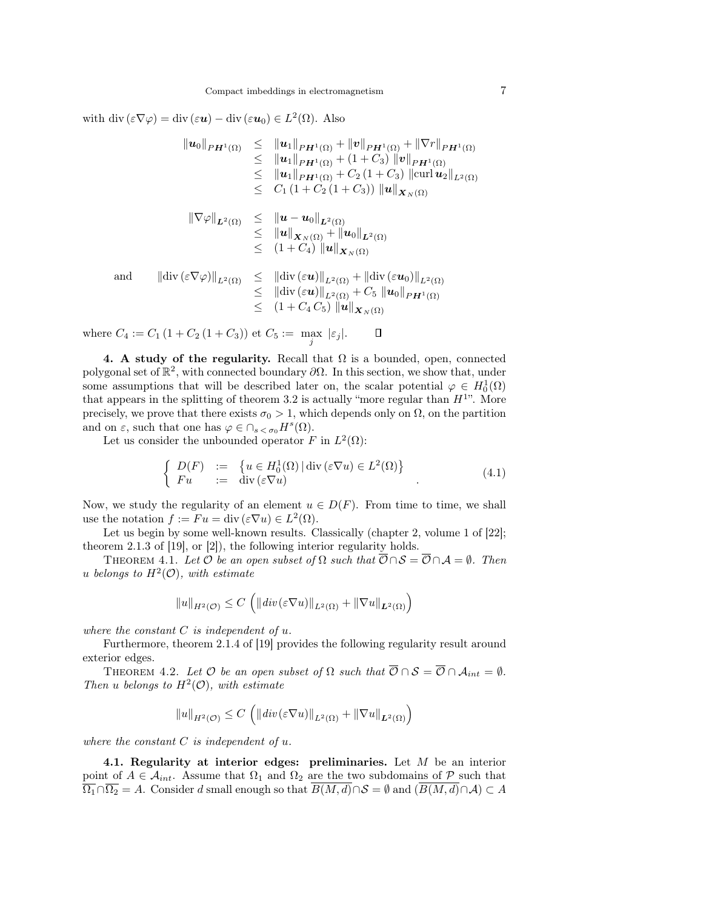with div  $(\varepsilon \nabla \varphi) = \text{div}(\varepsilon \boldsymbol{u}) - \text{div}(\varepsilon \boldsymbol{u}_0) \in L^2(\Omega)$ . Also

$$
\|u_{0}\|_{PH^{1}(\Omega)} \leq \|u_{1}\|_{PH^{1}(\Omega)} + \|v\|_{PH^{1}(\Omega)} + \|\nabla r\|_{PH^{1}(\Omega)}
$$
\n
$$
\leq \|u_{1}\|_{PH^{1}(\Omega)} + (1 + C_{3}) \|v\|_{PH^{1}(\Omega)}
$$
\n
$$
\leq \|u_{1}\|_{PH^{1}(\Omega)} + C_{2} (1 + C_{3}) \|\text{curl}\, u_{2}\|_{L^{2}(\Omega)}
$$
\n
$$
\leq C_{1} (1 + C_{2} (1 + C_{3})) \|u\|_{X_{N}(\Omega)}
$$
\n
$$
\|\nabla \varphi\|_{L^{2}(\Omega)} \leq \|u - u_{0}\|_{L^{2}(\Omega)}
$$
\n
$$
\leq \|u\|_{X_{N}(\Omega)} + \|u_{0}\|_{L^{2}(\Omega)}
$$
\n
$$
\leq (1 + C_{4}) \|u\|_{X_{N}(\Omega)}
$$
\nand\n
$$
\|\text{div}(\varepsilon \nabla \varphi)\|_{L^{2}(\Omega)} \leq \|\text{div}(\varepsilon u)\|_{L^{2}(\Omega)} + \|\text{div}(\varepsilon u_{0})\|_{L^{2}(\Omega)}
$$
\n
$$
\leq \|\text{div}(\varepsilon u)\|_{L^{2}(\Omega)} + C_{5} \|u_{0}\|_{PH^{1}(\Omega)}
$$
\n
$$
\leq (1 + C_{4} C_{5}) \|u\|_{X_{N}(\Omega)}
$$

where  $C_4 := C_1 (1 + C_2 (1 + C_3))$  et  $C_5 := \max_j |\varepsilon_j|$ .  $\Box$ 

4. A study of the regularity. Recall that  $\Omega$  is a bounded, open, connected polygonal set of  $\mathbb{R}^2$ , with connected boundary  $\partial\Omega$ . In this section, we show that, under some assumptions that will be described later on, the scalar potential  $\varphi \in H_0^1(\Omega)$ that appears in the splitting of theorem 3.2 is actually "more regular than  $H^{1}$ ". More precisely, we prove that there exists  $\sigma_0 > 1$ , which depends only on  $\Omega$ , on the partition and on  $\varepsilon$ , such that one has  $\varphi \in \bigcap_{s < \sigma_0} H^s(\Omega)$ .

Let us consider the unbounded operator F in  $L^2(\Omega)$ :

$$
\begin{cases}\nD(F) := \{ u \in H_0^1(\Omega) \mid \text{div}(\varepsilon \nabla u) \in L^2(\Omega) \} \\
Fu := \text{div}(\varepsilon \nabla u)\n\end{cases} (4.1)
$$

Now, we study the regularity of an element  $u \in D(F)$ . From time to time, we shall use the notation  $f := Fu = \text{div}(\varepsilon \nabla u) \in L^2(\Omega)$ .

Let us begin by some well-known results. Classically (chapter 2, volume 1 of [22]; theorem 2.1.3 of [19], or [2]), the following interior regularity holds.

THEOREM 4.1. Let  $\mathcal O$  be an open subset of  $\Omega$  such that  $\overline{\mathcal O}\cap\mathcal S=\overline{\mathcal O}\cap\mathcal A=\emptyset$ . Then u belongs to  $H^2(\mathcal{O})$ , with estimate

$$
||u||_{H^{2}(\mathcal{O})} \leq C \left( ||div(\varepsilon \nabla u)||_{L^{2}(\Omega)} + ||\nabla u||_{L^{2}(\Omega)} \right)
$$

where the constant  $C$  is independent of  $u$ .

Furthermore, theorem 2.1.4 of [19] provides the following regularity result around exterior edges.

THEOREM 4.2. Let  $\mathcal O$  be an open subset of  $\Omega$  such that  $\overline{\mathcal O}\cap\mathcal S=\overline{\mathcal O}\cap\mathcal A_{int}=\emptyset$ . Then u belongs to  $H^2(\mathcal{O})$ , with estimate

$$
||u||_{H^{2}(\mathcal{O})} \leq C \left( ||div(\varepsilon \nabla u)||_{L^{2}(\Omega)} + ||\nabla u||_{L^{2}(\Omega)} \right)
$$

where the constant  $C$  is independent of  $u$ .

4.1. Regularity at interior edges: preliminaries. Let  $M$  be an interior point of  $A \in \mathcal{A}_{int}$ . Assume that  $\Omega_1$  and  $\Omega_2$  are the two subdomains of  $\mathcal{P}$  such that  $\overline{\Omega_1} \cap \overline{\Omega_2} = A$ . Consider d small enough so that  $\overline{B(M,d)} \cap \mathcal{S} = \emptyset$  and  $(\overline{B(M,d)} \cap \mathcal{A}) \subset A$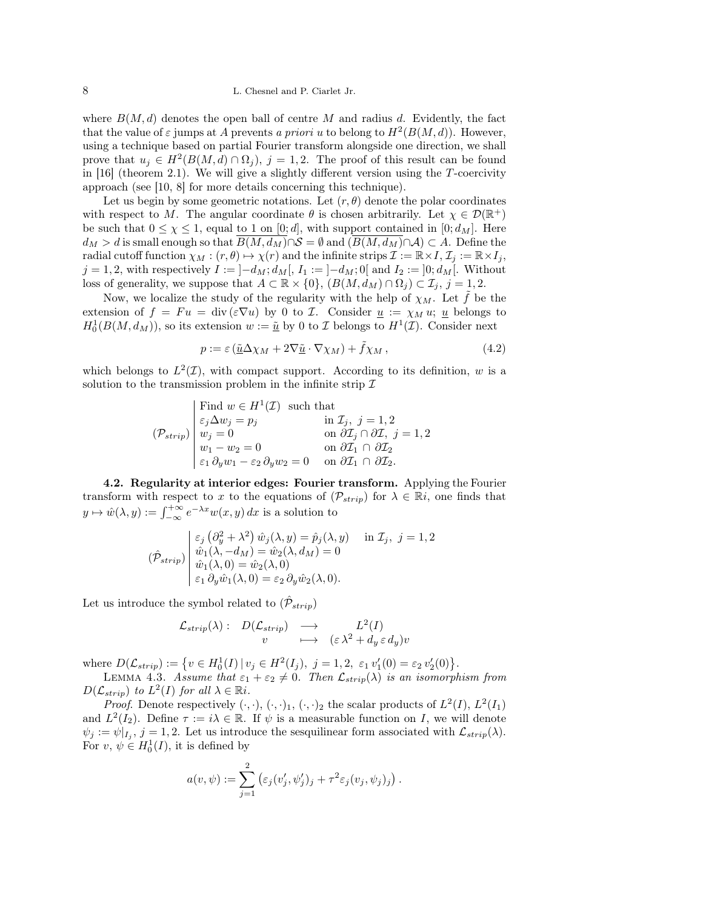# 8 L. Chesnel and P. Ciarlet Jr.

where  $B(M, d)$  denotes the open ball of centre M and radius d. Evidently, the fact that the value of  $\varepsilon$  jumps at A prevents a priori u to belong to  $H^2(B(M, d))$ . However, using a technique based on partial Fourier transform alongside one direction, we shall prove that  $u_j \in H^2(B(M,d) \cap \Omega_j)$ ,  $j = 1,2$ . The proof of this result can be found in [16] (theorem 2.1). We will give a slightly different version using the T-coercivity approach (see [10, 8] for more details concerning this technique).

Let us begin by some geometric notations. Let  $(r, \theta)$  denote the polar coordinates with respect to M. The angular coordinate  $\theta$  is chosen arbitrarily. Let  $\chi \in \mathcal{D}(\mathbb{R}^+)$ be such that  $0 \leq \chi \leq 1$ , equal to 1 on [0; d], with support contained in [0;  $d_M$ ]. Here  $d_M > d$  is small enough so that  $\overline{B(M, d_M)} \cap S = \emptyset$  and  $(\overline{B(M, d_M)} \cap A) \subset A$ . Define the radial cutoff function  $\chi_M : (r, \theta) \mapsto \chi(r)$  and the infinite strips  $\mathcal{I} := \mathbb{R} \times I, \mathcal{I}_j := \mathbb{R} \times I_j$ ,  $j = 1, 2$ , with respectively  $I := [-d_M; d_M[, I_1 := [-d_M; 0[$  and  $I_2 := ]0; d_M[$ . Without loss of generality, we suppose that  $A \subset \mathbb{R} \times \{0\}$ ,  $(B(M, d_M) \cap \Omega_j) \subset \mathcal{I}_j$ ,  $j = 1, 2$ .

Now, we localize the study of the regularity with the help of  $\chi_M$ . Let  $\hat{f}$  be the extension of  $f = Fu = \text{div} (\varepsilon \nabla u)$  by 0 to *I*. Consider  $u := \chi_M u$ ; u belongs to  $H_0^1(B(M, d_M))$ , so its extension  $w := \underline{\tilde{u}}$  by 0 to *I* belongs to  $H^1(\mathcal{I})$ . Consider next

$$
p := \varepsilon \left( \underline{\tilde{u}} \Delta \chi_M + 2 \nabla \underline{\tilde{u}} \cdot \nabla \chi_M \right) + \tilde{f} \chi_M , \qquad (4.2)
$$

which belongs to  $L^2(\mathcal{I})$ , with compact support. According to its definition, w is a solution to the transmission problem in the infinite strip  $\mathcal I$ 

$$
(\mathcal{P}_{strip})\begin{cases}\n\text{Find } w \in H^{1}(\mathcal{I}) \text{ such that} \\
\varepsilon_{j} \Delta w_{j} = p_{j} & \text{in } \mathcal{I}_{j}, j = 1, 2 \\
w_{j} = 0 & \text{on } \partial \mathcal{I}_{j} \cap \partial \mathcal{I}, j = 1, 2 \\
w_{1} - w_{2} = 0 & \text{on } \partial \mathcal{I}_{1} \cap \partial \mathcal{I}_{2} \\
\varepsilon_{1} \partial_{y} w_{1} - \varepsilon_{2} \partial_{y} w_{2} = 0 & \text{on } \partial \mathcal{I}_{1} \cap \partial \mathcal{I}_{2}.\n\end{cases}
$$

4.2. Regularity at interior edges: Fourier transform. Applying the Fourier transform with respect to x to the equations of  $(\mathcal{P}_{strip})$  for  $\lambda \in \mathbb{R}i$ , one finds that  $y \mapsto \hat{w}(\lambda, y) := \int_{-\infty}^{+\infty} e^{-\lambda x} w(x, y) dx$  is a solution to

$$
(\hat{\mathcal{P}}_{strip}) \begin{vmatrix} \varepsilon_j \left( \partial_y^2 + \lambda^2 \right) \hat{w}_j(\lambda, y) = \hat{p}_j(\lambda, y) & \text{in } \mathcal{I}_j, \ j = 1, 2 \\ \hat{w}_1(\lambda, -d_M) = \hat{w}_2(\lambda, d_M) = 0 \\ \hat{w}_1(\lambda, 0) = \hat{w}_2(\lambda, 0) \\ \varepsilon_1 \partial_y \hat{w}_1(\lambda, 0) = \varepsilon_2 \partial_y \hat{w}_2(\lambda, 0). \end{vmatrix}
$$

Let us introduce the symbol related to  $(\hat{\mathcal{P}}_{strip})$ 

$$
\mathcal{L}_{strip}(\lambda): D(\mathcal{L}_{strip}) \longrightarrow L^2(I)
$$
  
 
$$
\qquad \qquad v \qquad \longmapsto \qquad (\varepsilon \lambda^2 + d_y \varepsilon d_y)v
$$

where  $D(\mathcal{L}_{strip}) := \{ v \in H_0^1(I) | v_j \in H^2(I_j), j = 1, 2, \varepsilon_1 v_1'(0) = \varepsilon_2 v_2'(0) \}.$ 

LEMMA 4.3. Assume that  $\varepsilon_1 + \varepsilon_2 \neq 0$ . Then  $\mathcal{L}_{strip}(\lambda)$  is an isomorphism from  $D(\mathcal{L}_{strip})$  to  $L^2(I)$  for all  $\lambda \in \mathbb{R}$ *i*.

*Proof.* Denote respectively  $(\cdot, \cdot)$ ,  $(\cdot, \cdot)_1$ ,  $(\cdot, \cdot)_2$  the scalar products of  $L^2(I)$ ,  $L^2(I_1)$ and  $L^2(I_2)$ . Define  $\tau := i\lambda \in \mathbb{R}$ . If  $\psi$  is a measurable function on I, we will denote  $\psi_j := \psi|_{I_j}, j = 1, 2$ . Let us introduce the sesquilinear form associated with  $\mathcal{L}_{strip}(\lambda)$ . For  $v, \psi \in H_0^1(I)$ , it is defined by

$$
a(v, \psi) := \sum_{j=1}^{2} (\varepsilon_j(v'_j, \psi'_j)_j + \tau^2 \varepsilon_j(v_j, \psi_j)_j).
$$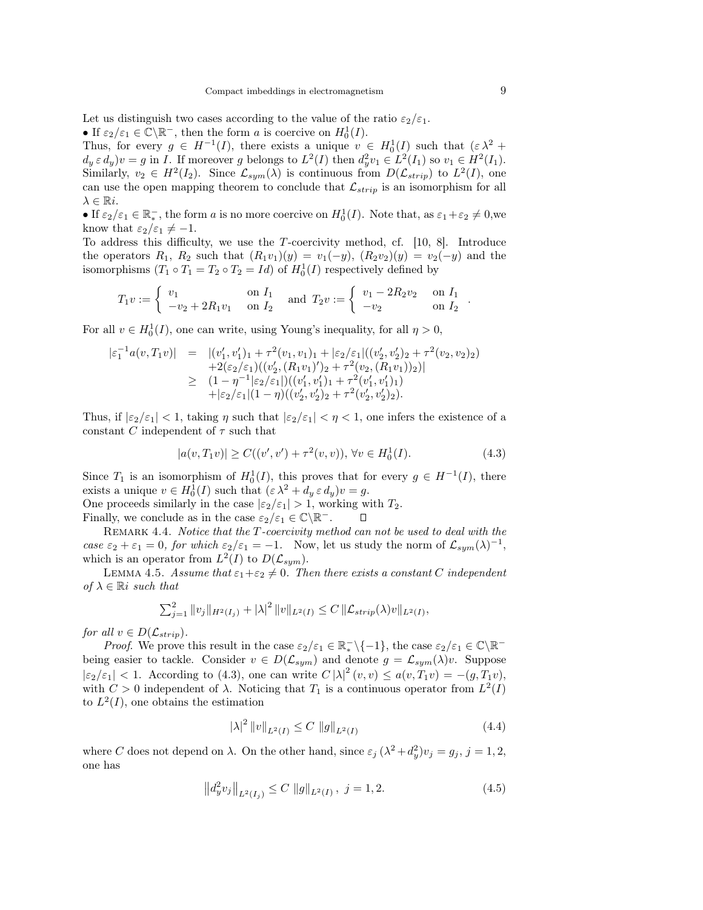Let us distinguish two cases according to the value of the ratio  $\varepsilon_2/\varepsilon_1$ . • If  $\varepsilon_2/\varepsilon_1 \in \widetilde{\mathbb{C}} \backslash \mathbb{R}^-$ , then the form a is coercive on  $H_0^1(I)$ .

Thus, for every  $g \in H^{-1}(I)$ , there exists a unique  $v \in H_0^1(I)$  such that  $(\varepsilon \lambda^2 +$  $d_y \in d_y$ ) $v = g$  in *I*. If moreover g belongs to  $L^2(I)$  then  $d_y^2 v_1 \in L^2(I_1)$  so  $v_1 \in H^2(I_1)$ . Similarly,  $v_2 \in H^2(I_2)$ . Since  $\mathcal{L}_{sym}(\lambda)$  is continuous from  $D(\mathcal{L}_{strip})$  to  $L^2(I)$ , one can use the open mapping theorem to conclude that  $\mathcal{L}_{strip}$  is an isomorphism for all  $\lambda \in \mathbb{R}$ *i*.

• If  $\varepsilon_2/\varepsilon_1 \in \mathbb{R}^+$ , the form a is no more coercive on  $H_0^1(I)$ . Note that, as  $\varepsilon_1 + \varepsilon_2 \neq 0$ , we know that  $\varepsilon_2/\varepsilon_1 \neq -1$ .

To address this difficulty, we use the T-coercivity method, cf. [10, 8]. Introduce the operators  $R_1, R_2$  such that  $(R_1v_1)(y) = v_1(-y), (R_2v_2)(y) = v_2(-y)$  and the isomorphisms  $(T_1 \circ T_1 = T_2 \circ T_2 = Id)$  of  $H_0^1(I)$  respectively defined by

$$
T_1v := \begin{cases} v_1 & \text{on } I_1 \\ -v_2 + 2R_1v_1 & \text{on } I_2 \end{cases} \text{ and } T_2v := \begin{cases} v_1 - 2R_2v_2 & \text{on } I_1 \\ -v_2 & \text{on } I_2 \end{cases}
$$

For all  $v \in H_0^1(I)$ , one can write, using Young's inequality, for all  $\eta > 0$ ,

$$
\begin{array}{rcl}\n|\varepsilon_1^{-1}a(v,T_1v)| & = & |(v_1',v_1')_1 + \tau^2(v_1,v_1)_1 + |\varepsilon_2/\varepsilon_1|((v_2',v_2')_2 + \tau^2(v_2,v_2)_2) \\
& & + 2(\varepsilon_2/\varepsilon_1)((v_2',(R_1v_1)')_2 + \tau^2(v_2,(R_1v_1))_2)| \\
& \geq & (1 - \eta^{-1}|\varepsilon_2/\varepsilon_1|)((v_1',v_1')_1 + \tau^2(v_1',v_1')_1) \\
& & + |\varepsilon_2/\varepsilon_1|(1 - \eta)((v_2',v_2')_2 + \tau^2(v_2',v_2')_2).\n\end{array}
$$

Thus, if  $|\varepsilon_2/\varepsilon_1|$  < 1, taking  $\eta$  such that  $|\varepsilon_2/\varepsilon_1|$  <  $\eta$  < 1, one infers the existence of a constant C independent of  $\tau$  such that

$$
|a(v, T_1v)| \ge C((v', v') + \tau^2(v, v)), \forall v \in H_0^1(I). \tag{4.3}
$$

Since  $T_1$  is an isomorphism of  $H_0^1(I)$ , this proves that for every  $g \in H^{-1}(I)$ , there exists a unique  $v \in H_0^1(I)$  such that  $(\varepsilon \lambda^2 + d_y \varepsilon d_y)v = g$ .

One proceeds similarly in the case  $|\varepsilon_2/\varepsilon_1| > 1$ , working with  $T_2$ . Finally, we conclude as in the case  $\varepsilon_2/\varepsilon_1 \in \mathbb{C} \backslash \mathbb{R}^-$ .

REMARK 4.4. Notice that the T-coercivity method can not be used to deal with the case  $\varepsilon_2 + \varepsilon_1 = 0$ , for which  $\varepsilon_2/\varepsilon_1 = -1$ . Now, let us study the norm of  $\mathcal{L}_{sym}(\lambda)^{-1}$ , which is an operator from  $L^2(I)$  to  $D(\mathcal{L}_{sym})$ .

LEMMA 4.5. Assume that  $\varepsilon_1+\varepsilon_2\neq 0$ . Then there exists a constant C independent of  $\lambda \in \mathbb{R}^i$  such that

$$
\sum_{j=1}^2 ||v_j||_{H^2(I_j)} + |\lambda|^2 ||v||_{L^2(I)} \leq C ||\mathcal{L}_{strip}(\lambda)v||_{L^2(I)},
$$

for all  $v \in D(\mathcal{L}_{strip}).$ 

*Proof.* We prove this result in the case  $\varepsilon_2/\varepsilon_1 \in \mathbb{R}^-\setminus\{-1\}$ , the case  $\varepsilon_2/\varepsilon_1 \in \mathbb{C}\setminus\mathbb{R}^$ being easier to tackle. Consider  $v \in D(\mathcal{L}_{sym})$  and denote  $g = \mathcal{L}_{sym}(\lambda)v$ . Suppose  $|\varepsilon_2/\varepsilon_1|$  < 1. According to (4.3), one can write  $C |\lambda|^2(v, v) \leq a(v, T_1v) = -(g, T_1v)$ , with  $C > 0$  independent of  $\lambda$ . Noticing that  $T_1$  is a continuous operator from  $L^2(I)$ to  $L^2(I)$ , one obtains the estimation

$$
|\lambda|^2 \|v\|_{L^2(I)} \le C \|g\|_{L^2(I)} \tag{4.4}
$$

where C does not depend on  $\lambda$ . On the other hand, since  $\varepsilon_j$   $(\lambda^2 + d_y^2)v_j = g_j$ ,  $j = 1, 2$ , one has

$$
\left\|d_y^2 v_j\right\|_{L^2(I_j)} \le C \left\|g\right\|_{L^2(I)}, \ j = 1, 2. \tag{4.5}
$$

.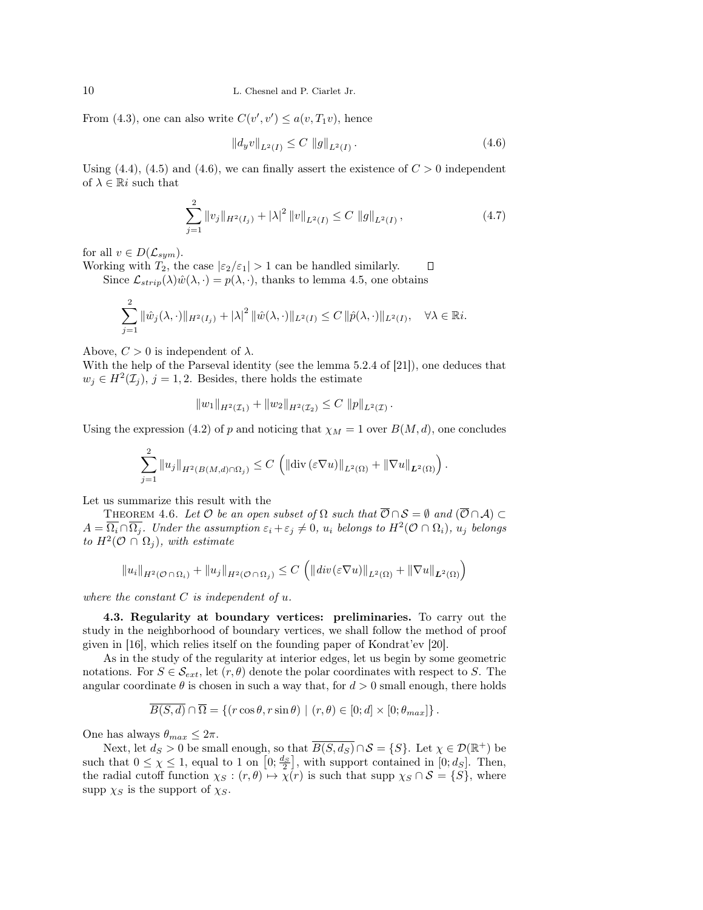From (4.3), one can also write  $C(v', v') \leq a(v, T_1v)$ , hence

 $\Omega$ 

$$
||d_y v||_{L^2(I)} \le C ||g||_{L^2(I)}.
$$
\n(4.6)

Using (4.4), (4.5) and (4.6), we can finally assert the existence of  $C > 0$  independent of  $\lambda \in \mathbb{R}^i$  such that

$$
\sum_{j=1}^{2} \|v_j\|_{H^2(I_j)} + |\lambda|^2 \|v\|_{L^2(I)} \le C \|g\|_{L^2(I)},
$$
\n(4.7)

for all  $v \in D(\mathcal{L}_{sym}).$ 

Working with  $T_2$ , the case  $|\varepsilon_2/\varepsilon_1| > 1$  can be handled similarly. П Since  $\mathcal{L}_{strip}(\lambda)\hat{w}(\lambda, \cdot) = p(\lambda, \cdot)$ , thanks to lemma 4.5, one obtains

$$
\sum_{j=1}^{2} \|\hat{w}_j(\lambda,\cdot)\|_{H^2(I_j)} + |\lambda|^2 \|\hat{w}(\lambda,\cdot)\|_{L^2(I)} \leq C \|\hat{p}(\lambda,\cdot)\|_{L^2(I)}, \quad \forall \lambda \in \mathbb{R}i.
$$

Above,  $C > 0$  is independent of  $\lambda$ .

With the help of the Parseval identity (see the lemma 5.2.4 of [21]), one deduces that  $w_j \in H^2(\mathcal{I}_j)$ ,  $j = 1, 2$ . Besides, there holds the estimate

$$
||w_1||_{H^2(\mathcal{I}_1)} + ||w_2||_{H^2(\mathcal{I}_2)} \leq C ||p||_{L^2(\mathcal{I})}.
$$

Using the expression (4.2) of p and noticing that  $\chi_M = 1$  over  $B(M, d)$ , one concludes

$$
\sum_{j=1}^2 \|u_j\|_{H^2(B(M,d)\cap\Omega_j)} \leq C \left( \left\| \mathrm{div}\left(\varepsilon \nabla u\right)\right\|_{L^2(\Omega)} + \left\| \nabla u\right\|_{L^2(\Omega)} \right).
$$

Let us summarize this result with the

THEOREM 4.6. Let  $\mathcal O$  be an open subset of  $\Omega$  such that  $\overline{\mathcal O}\cap\mathcal S=\emptyset$  and  $(\overline{\mathcal O}\cap\mathcal A)\subset\overline{\mathcal O}$  $A=\overline{\Omega_i}\cap\overline{\Omega_j}$ . Under the assumption  $\varepsilon_i+\varepsilon_j\neq 0$ ,  $u_i$  belongs to  $H^2(\mathcal{O}\cap\Omega_i)$ ,  $u_j$  belongs to  $H^2(\mathcal{O} \cap \Omega_j)$ , with estimate

$$
||u_i||_{H^2(\mathcal{O}\cap\Omega_i)} + ||u_j||_{H^2(\mathcal{O}\cap\Omega_j)} \leq C \left( ||div(\varepsilon \nabla u)||_{L^2(\Omega)} + ||\nabla u||_{L^2(\Omega)} \right)
$$

where the constant  $C$  is independent of  $u$ .

4.3. Regularity at boundary vertices: preliminaries. To carry out the study in the neighborhood of boundary vertices, we shall follow the method of proof given in [16], which relies itself on the founding paper of Kondrat'ev [20].

As in the study of the regularity at interior edges, let us begin by some geometric notations. For  $S \in \mathcal{S}_{ext}$ , let  $(r, \theta)$  denote the polar coordinates with respect to S. The angular coordinate  $\theta$  is chosen in such a way that, for  $d > 0$  small enough, there holds

$$
\overline{B(S,d)} \cap \overline{\Omega} = \{ (r \cos \theta, r \sin \theta) \mid (r, \theta) \in [0; d] \times [0; \theta_{max}] \}.
$$

One has always  $\theta_{max} \leq 2\pi$ .

Next, let  $d_S > 0$  be small enough, so that  $\overline{B(S, d_S)} \cap \mathcal{S} = \{S\}$ . Let  $\chi \in \mathcal{D}(\mathbb{R}^+)$  be such that  $0 \leq \chi \leq 1$ , equal to 1 on  $\left[0; \frac{d_S}{2}\right]$ , with support contained in  $[0; d_S]$ . Then, the radial cutoff function  $\chi_S : (r, \theta) \mapsto \chi(r)$  is such that supp  $\chi_S \cap S = \{S\}$ , where supp  $\chi_S$  is the support of  $\chi_S$ .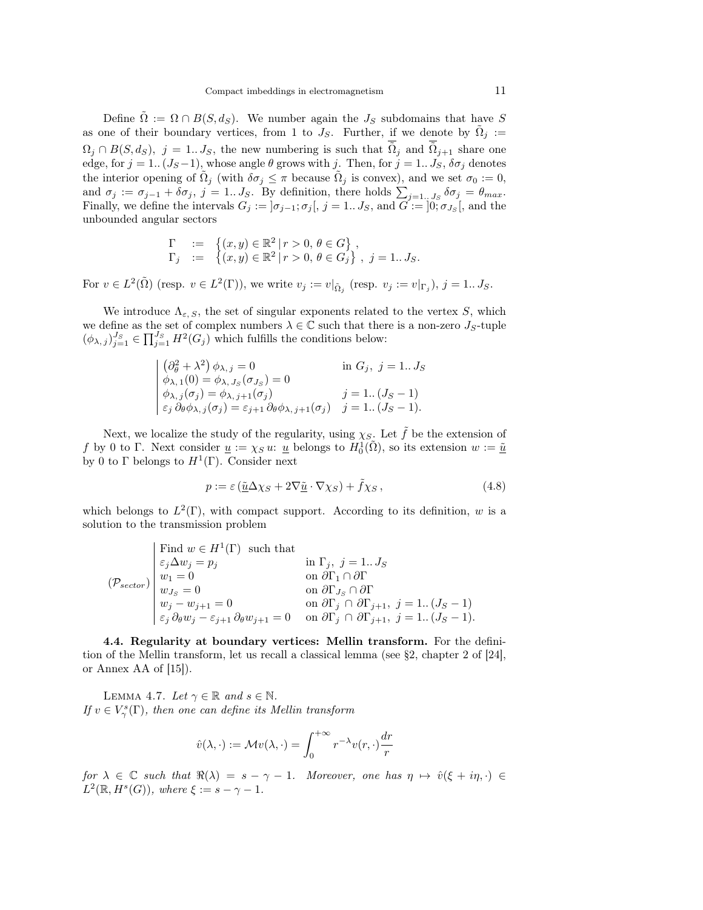Define  $\Omega := \Omega \cap B(S, d_S)$ . We number again the  $J_S$  subdomains that have S as one of their boundary vertices, from 1 to  $J_S$ . Further, if we denote by  $\tilde{\Omega}_j :=$  $\Omega_j \cap B(S, d_S)$ ,  $j = 1...J_S$ , the new numbering is such that  $\overline{\tilde{\Omega}}_j$  and  $\overline{\tilde{\Omega}}_{j+1}$  share one edge, for  $j = 1$ .  $(J_S-1)$ , whose angle  $\theta$  grows with j. Then, for  $j = 1... J_S$ ,  $\delta \sigma_j$  denotes the interior opening of  $\tilde{\Omega}_j$  (with  $\delta\sigma_j \leq \pi$  because  $\tilde{\Omega}_j$  is convex), and we set  $\sigma_0 := 0$ , and  $\sigma_j := \sigma_{j-1} + \delta \sigma_j$ ,  $j = 1...J_S$ . By definition, there holds  $\sum_{j=1...J_S} \delta \sigma_j = \theta_{max}$ . Finally, we define the intervals  $G_j := \left] \sigma_{j-1}; \sigma_j \right[, j = 1...J_S$ , and  $G := \left] 0; \sigma_{J_S} \right[$ , and the unbounded angular sectors

$$
\begin{array}{rcl}\n\Gamma & := & \left\{ (x, y) \in \mathbb{R}^2 \mid r > 0, \, \theta \in G \right\}, \\
\Gamma_j & := & \left\{ (x, y) \in \mathbb{R}^2 \mid r > 0, \, \theta \in G_j \right\}, \, j = 1..J_S.\n\end{array}
$$

For  $v \in L^2(\tilde{\Omega})$  (resp.  $v \in L^2(\Gamma)$ ), we write  $v_j := v|_{\tilde{\Omega}_j}$  (resp.  $v_j := v|_{\Gamma_j}$ ),  $j = 1...J_S$ .

We introduce  $\Lambda_{\varepsilon, S}$ , the set of singular exponents related to the vertex S, which we define as the set of complex numbers  $\lambda \in \mathbb{C}$  such that there is a non-zero  $J_S$ -tuple  $(\phi_{\lambda,j})_{j=1}^{J_S} \in \prod_{j=1}^{J_S} H^2(G_j)$  which fulfills the conditions below:

$$
\begin{cases}\n(\partial_{\theta}^{2} + \lambda^{2}) \phi_{\lambda, j} = 0 & \text{in } G_{j}, j = 1..J_{S} \\
\phi_{\lambda, 1}(0) = \phi_{\lambda, J_{S}}(\sigma_{J_{S}}) = 0 & \text{if } J_{S} - 1 \\
\phi_{\lambda, j}(\sigma_{j}) = \phi_{\lambda, j+1}(\sigma_{j}) & j = 1..(J_{S} - 1) \\
\varepsilon_{j} \partial_{\theta} \phi_{\lambda, j}(\sigma_{j}) = \varepsilon_{j+1} \partial_{\theta} \phi_{\lambda, j+1}(\sigma_{j}) & j = 1..(J_{S} - 1).\n\end{cases}
$$

Next, we localize the study of the regularity, using  $\chi_{S}$ . Let  $\tilde{f}$  be the extension of f by 0 to Γ. Next consider  $\underline{u} := \chi_S u: \underline{u}$  belongs to  $H_0^1(\tilde{\Omega})$ , so its extension  $w := \underline{\tilde{u}}$ by 0 to  $\Gamma$  belongs to  $H^1(\Gamma)$ . Consider next

$$
p := \varepsilon \left( \underline{\tilde{u}} \Delta \chi_S + 2 \nabla \underline{\tilde{u}} \cdot \nabla \chi_S \right) + \tilde{f} \chi_S , \qquad (4.8)
$$

which belongs to  $L^2(\Gamma)$ , with compact support. According to its definition, w is a solution to the transmission problem

$$
(\mathcal{P}_{sector})\begin{array}{l} \text{Find }w\in H^{1}(\Gamma)\text{ such that}\\ \varepsilon_{j}\Delta w_{j}=p_{j} & \text{in }\Gamma_{j},\ j=1..J_{S}\\ w_{1}=0 & \text{on }\partial\Gamma_{1}\cap\partial\Gamma\\ w_{J_{S}}=0 & \text{on }\partial\Gamma_{J_{S}}\cap\partial\Gamma\\ w_{j}-w_{j+1}=0 & \text{on }\partial\Gamma_{j}\cap\partial\Gamma_{j+1},\ j=1..(J_{S}-1)\\ \varepsilon_{j}\partial_{\theta}w_{j}-\varepsilon_{j+1}\partial_{\theta}w_{j+1}=0 & \text{on }\partial\Gamma_{j}\cap\partial\Gamma_{j+1},\ j=1..(J_{S}-1).\end{array}
$$

4.4. Regularity at boundary vertices: Mellin transform. For the definition of the Mellin transform, let us recall a classical lemma (see §2, chapter 2 of [24], or Annex AA of [15]).

LEMMA 4.7. Let  $\gamma \in \mathbb{R}$  and  $s \in \mathbb{N}$ . If  $v \in V^s_{\gamma}(\Gamma)$ , then one can define its Mellin transform

$$
\hat{v}(\lambda, \cdot) := \mathcal{M}v(\lambda, \cdot) = \int_0^{+\infty} r^{-\lambda} v(r, \cdot) \frac{dr}{r}
$$

for  $\lambda \in \mathbb{C}$  such that  $\Re(\lambda) = s - \gamma - 1$ . Moreover, one has  $\eta \mapsto \hat{v}(\xi + i\eta, \cdot) \in$  $L^2(\mathbb{R}, H^s(G))$ , where  $\xi := s - \gamma - 1$ .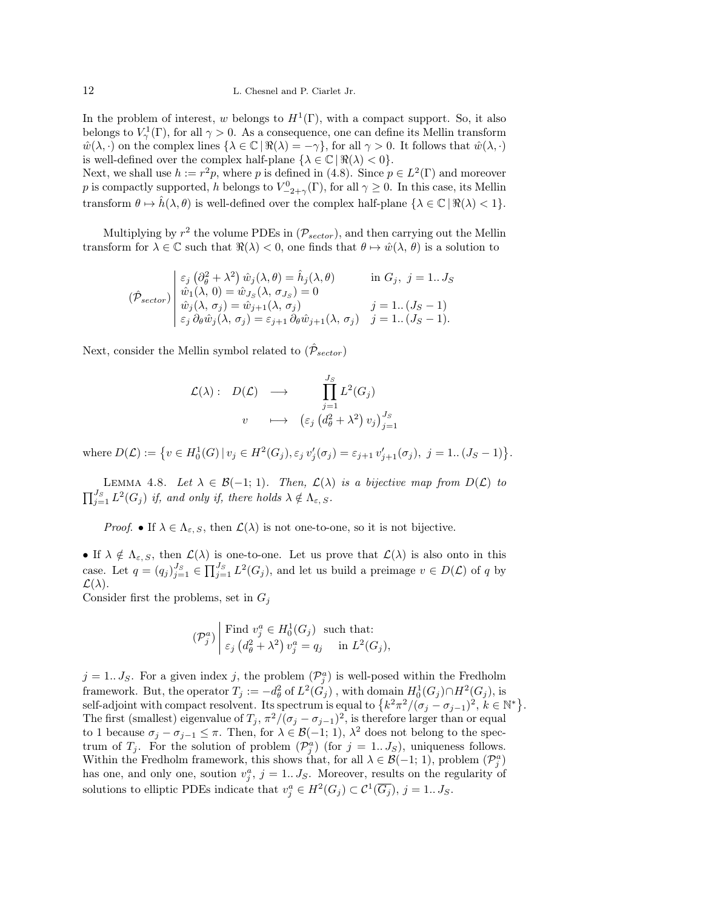In the problem of interest, w belongs to  $H^1(\Gamma)$ , with a compact support. So, it also belongs to  $V^1_\gamma(\Gamma)$ , for all  $\gamma > 0$ . As a consequence, one can define its Mellin transform  $\hat{w}(\lambda, \cdot)$  on the complex lines  $\{\lambda \in \mathbb{C} \mid \Re(\lambda) = -\gamma\}$ , for all  $\gamma > 0$ . It follows that  $\hat{w}(\lambda, \cdot)$ is well-defined over the complex half-plane  $\{\lambda \in \mathbb{C} \mid \Re(\lambda) < 0\}.$ 

Next, we shall use  $h := r^2p$ , where p is defined in (4.8). Since  $p \in L^2(\Gamma)$  and moreover p is compactly supported, h belongs to  $V^0_{-2+\gamma}(\Gamma)$ , for all  $\gamma \geq 0$ . In this case, its Mellin transform  $\theta \mapsto \hat{h}(\lambda, \theta)$  is well-defined over the complex half-plane  $\{\lambda \in \mathbb{C} \mid \Re(\lambda) < 1\}.$ 

Multiplying by  $r^2$  the volume PDEs in  $(\mathcal{P}_{sector})$ , and then carrying out the Mellin transform for  $\lambda \in \mathbb{C}$  such that  $\Re(\lambda) < 0$ , one finds that  $\theta \mapsto \hat{w}(\lambda, \theta)$  is a solution to

$$
(\hat{\mathcal{P}}_{sector})\begin{vmatrix} \varepsilon_j(\partial_{\theta}^2 + \lambda^2) \hat{w}_j(\lambda, \theta) = \hat{h}_j(\lambda, \theta) & \text{in } G_j, \ j = 1...J_S \\ \hat{w}_1(\lambda, 0) = \hat{w}_{J_S}(\lambda, \sigma_{J_S}) = 0 \\ \hat{w}_j(\lambda, \sigma_j) = \hat{w}_{j+1}(\lambda, \sigma_j) & j = 1...(J_S - 1) \\ \varepsilon_j \partial_{\theta} \hat{w}_j(\lambda, \sigma_j) = \varepsilon_{j+1} \partial_{\theta} \hat{w}_{j+1}(\lambda, \sigma_j) & j = 1...(J_S - 1). \end{vmatrix}
$$

Next, consider the Mellin symbol related to  $(\hat{\mathcal{P}}_{sector})$ 

$$
\mathcal{L}(\lambda): D(\mathcal{L}) \longrightarrow \prod_{j=1}^{J_S} L^2(G_j)
$$
  

$$
v \longrightarrow (\varepsilon_j (d_{\theta}^2 + \lambda^2) v_j)_{j=1}^{J_S}
$$

where  $D(\mathcal{L}) := \{ v \in H_0^1(G) \mid v_j \in H^2(G_j), \varepsilon_j v'_j(\sigma_j) = \varepsilon_{j+1} v'_{j+1}(\sigma_j), \ j = 1..(J_S - 1) \}.$ 

LEMMA 4.8. Let  $\lambda \in \mathcal{B}(-1; 1)$ . Then,  $\mathcal{L}(\lambda)$  is a bijective map from  $D(\mathcal{L})$  to  $\prod_{j=1}^{J_S} L^2(G_j)$  if, and only if, there holds  $\lambda \notin \Lambda_{\varepsilon, S}$ .

Proof. • If  $\lambda \in \Lambda_{\varepsilon, S}$ , then  $\mathcal{L}(\lambda)$  is not one-to-one, so it is not bijective.

• If  $\lambda \notin \Lambda_{\varepsilon, S}$ , then  $\mathcal{L}(\lambda)$  is one-to-one. Let us prove that  $\mathcal{L}(\lambda)$  is also onto in this case. Let  $q = (q_j)_{j=1}^{J_S} \in \prod_{j=1}^{J_S} L^2(G_j)$ , and let us build a preimage  $v \in D(\mathcal{L})$  of q by  $\mathcal{L}(\lambda)$ .

Consider first the problems, set in  $G_j$ 

$$
(\mathcal{P}_j^a) \middle| \begin{array}{l} \text{Find } v_j^a \in H_0^1(G_j) \text{ such that:} \\ \varepsilon_j \left( d_\theta^2 + \lambda^2 \right) v_j^a = q_j \quad \text{ in } L^2(G_j), \end{array}
$$

 $j = 1...J<sub>S</sub>$ . For a given index j, the problem  $(\mathcal{P}_{j}^{a})$  is well-posed within the Fredholm framework. But, the operator  $T_j := -d_{\theta}^2$  of  $L^2(G_j)$ , with domain  $H_0^1(G_j) \cap H^2(G_j)$ , is self-adjoint with compact resolvent. Its spectrum is equal to  $\{k^2\pi^2/(\sigma_j-\sigma_{j-1})^2, k \in \mathbb{N}^*\}.$ The first (smallest) eigenvalue of  $T_j$ ,  $\pi^2/(\sigma_j - \sigma_{j-1})^2$ , is therefore larger than or equal to 1 because  $\sigma_j - \sigma_{j-1} \leq \pi$ . Then, for  $\lambda \in \mathcal{B}(-1; 1)$ ,  $\lambda^2$  does not belong to the spectrum of  $T_j$ . For the solution of problem  $(\mathcal{P}_j^a)$  (for  $j = 1...J_S$ ), uniqueness follows. Within the Fredholm framework, this shows that, for all  $\lambda \in \mathcal{B}(-1; 1)$ , problem  $(\mathcal{P}_{j}^{a})$ has one, and only one, soution  $v_j^a$ ,  $j = 1...J_S$ . Moreover, results on the regularity of solutions to elliptic PDEs indicate that  $v_j^a \in H^2(G_j) \subset \mathcal{C}^1(\overline{G_j})$ ,  $j = 1...J_S$ .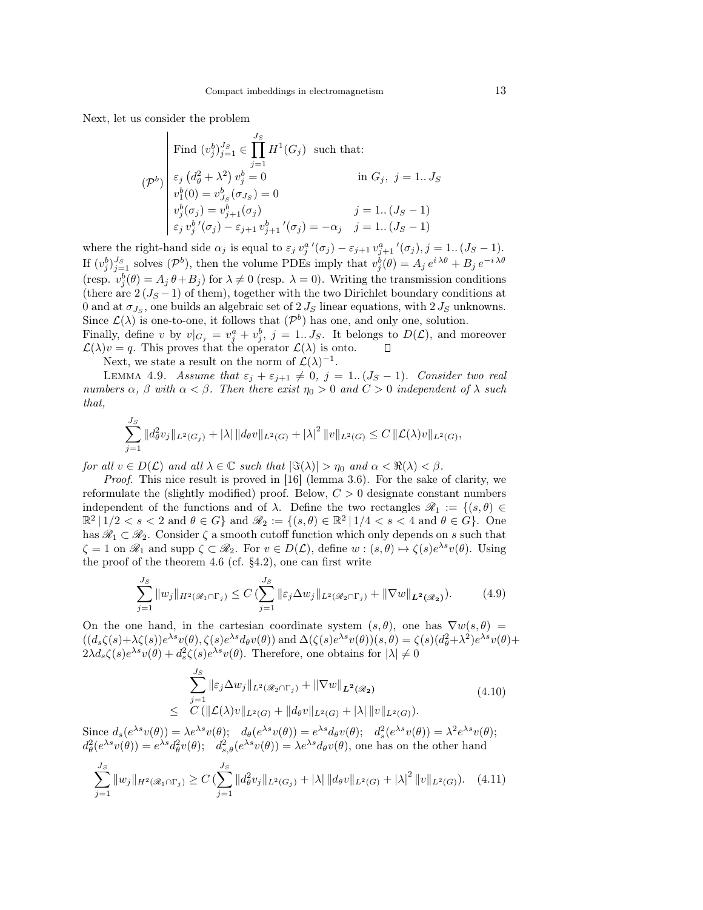Next, let us consider the problem

$$
(\mathcal{P}^b) \begin{bmatrix} \text{Find } (v_j^b)_{j=1}^J \in \prod_{j=1}^{J_S} H^1(G_j) \text{ such that:} \\ \varepsilon_j (d_\theta^2 + \lambda^2) v_j^b = 0 & \text{in } G_j, \ j = 1...J_S \\ v_1^b(0) = v_{J_S}^b(\sigma_{J_S}) = 0 \\ v_j^b(\sigma_j) = v_{j+1}^b(\sigma_j) & j = 1..(J_S - 1) \\ \varepsilon_j v_j^b'(\sigma_j) - \varepsilon_{j+1} v_{j+1}^b'(\sigma_j) = -\alpha_j & j = 1..(J_S - 1) \end{bmatrix}
$$

where the right-hand side  $\alpha_j$  is equal to  $\varepsilon_j v_j^{a'}(\sigma_j) - \varepsilon_{j+1} v_{j+1}^{a'}(\sigma_j)$ ,  $j = 1..(J_S - 1)$ . If  $(v_j^b)_{j=1}^{J_S}$  solves  $(\mathcal{P}^b)$ , then the volume PDEs imply that  $v_j^b(\theta) = A_j e^{i \lambda \theta} + B_j e^{-i \lambda \theta}$ (resp.  $v_j^b(\theta) = A_j \theta + B_j$ ) for  $\lambda \neq 0$  (resp.  $\lambda = 0$ ). Writing the transmission conditions (there are  $2(J<sub>S</sub> - 1)$  of them), together with the two Dirichlet boundary conditions at 0 and at  $\sigma_{J_S}$ , one builds an algebraic set of  $2 J_S$  linear equations, with  $2 J_S$  unknowns. Since  $\mathcal{L}(\lambda)$  is one-to-one, it follows that  $(\mathcal{P}^b)$  has one, and only one, solution. Finally, define v by  $v|_{G_j} = v_j^a + v_j^b$ ,  $j = 1...J_S$ . It belongs to  $D(\mathcal{L})$ , and moreover

 $\mathcal{L}(\lambda)v = q$ . This proves that the operator  $\mathcal{L}(\lambda)$  is onto.

Next, we state a result on the norm of  $\mathcal{L}(\lambda)^{-1}$ .

LEMMA 4.9. Assume that  $\varepsilon_j + \varepsilon_{j+1} \neq 0$ ,  $j = 1..(J_S - 1)$ . Consider two real numbers  $\alpha$ ,  $\beta$  with  $\alpha < \beta$ . Then there exist  $\eta_0 > 0$  and  $C > 0$  independent of  $\lambda$  such that,

 $\Box$ 

$$
\sum_{j=1}^{J_S} \|d_{\theta}^2 v_j\|_{L^2(G_j)} + |\lambda| \|d_{\theta} v\|_{L^2(G)} + |\lambda|^2 \|v\|_{L^2(G)} \leq C \|\mathcal{L}(\lambda)v\|_{L^2(G)},
$$

for all  $v \in D(\mathcal{L})$  and all  $\lambda \in \mathbb{C}$  such that  $|\Im(\lambda)| > \eta_0$  and  $\alpha < \Re(\lambda) < \beta$ .

Proof. This nice result is proved in [16] (lemma 3.6). For the sake of clarity, we reformulate the (slightly modified) proof. Below,  $C > 0$  designate constant numbers independent of the functions and of  $\lambda$ . Define the two rectangles  $\mathscr{R}_1 := \{(s,\theta) \in$  $\mathbb{R}^2 \mid 1/2 < s < 2$  and  $\theta \in G$  and  $\mathscr{R}_2 := \{(s,\theta) \in \mathbb{R}^2 \mid 1/4 < s < 4$  and  $\theta \in \widehat{G}\}$ . One has  $\mathscr{R}_1 \subset \mathscr{R}_2$ . Consider  $\zeta$  a smooth cutoff function which only depends on s such that  $\zeta = 1$  on  $\mathscr{R}_1$  and supp  $\zeta \subset \mathscr{R}_2$ . For  $v \in D(\mathcal{L})$ , define  $w : (s, \theta) \mapsto \zeta(s)e^{\lambda s}v(\theta)$ . Using the proof of the theorem 4.6 (cf. §4.2), one can first write

$$
\sum_{j=1}^{J_S} \|w_j\|_{H^2(\mathscr{R}_1 \cap \Gamma_j)} \le C \left(\sum_{j=1}^{J_S} \|\varepsilon_j \Delta w_j\|_{L^2(\mathscr{R}_2 \cap \Gamma_j)} + \|\nabla w\|_{L^2(\mathscr{R}_2)}\right). \tag{4.9}
$$

On the one hand, in the cartesian coordinate system  $(s, \theta)$ , one has  $\nabla w(s, \theta)$  =  $((d_s\zeta(s)+\lambda\zeta(s))e^{\lambda s}v(\theta),\zeta(s)e^{\lambda s}d_{\theta}v(\theta))$  and  $\Delta(\zeta(s)e^{\lambda s}v(\theta))(s,\theta) = \zeta(s)(d_{\theta}^2+\lambda^2)e^{\lambda s}v(\theta)+$  $2\lambda d_s\zeta(s)e^{\lambda s}v(\theta) + d_s^2\zeta(s)e^{\lambda s}v(\theta)$ . Therefore, one obtains for  $|\lambda| \neq 0$ 

$$
\sum_{j=1}^{J_S} \|\varepsilon_j \Delta w_j\|_{L^2(\mathscr{R}_2 \cap \Gamma_j)} + \|\nabla w\|_{L^2(\mathscr{R}_2)} \leq C(\|\mathcal{L}(\lambda)v\|_{L^2(G)} + \|d_\theta v\|_{L^2(G)} + |\lambda| \|v\|_{L^2(G)}).
$$
\n(4.10)

Since  $d_s(e^{\lambda s}v(\theta)) = \lambda e^{\lambda s}v(\theta); \quad d_\theta(e^{\lambda s}v(\theta)) = e^{\lambda s}d_\theta v(\theta); \quad d_s^2(e^{\lambda s}v(\theta)) = \lambda^2 e^{\lambda s}v(\theta);$  $d_{\theta}^{2}(e^{\lambda s}v(\theta)) = e^{\lambda s}d_{\theta}^{2}v(\theta);$   $d_{s,\theta}^{2}(e^{\lambda s}v(\theta)) = \lambda e^{\lambda s}d_{\theta}v(\theta)$ , one has on the other hand  $\sum$  $j=1$  $||w_j||_{H^2(\mathscr{R}_1\cap\Gamma_j)} \geq C \left( \sum^{J_S} \right)$  $j=1$  $||d_{\theta}^2 v_j||_{L^2(G_j)} + |\lambda| ||d_{\theta} v||_{L^2(G)} + |\lambda|^2 ||v||_{L^2(G)}$ ). (4.11)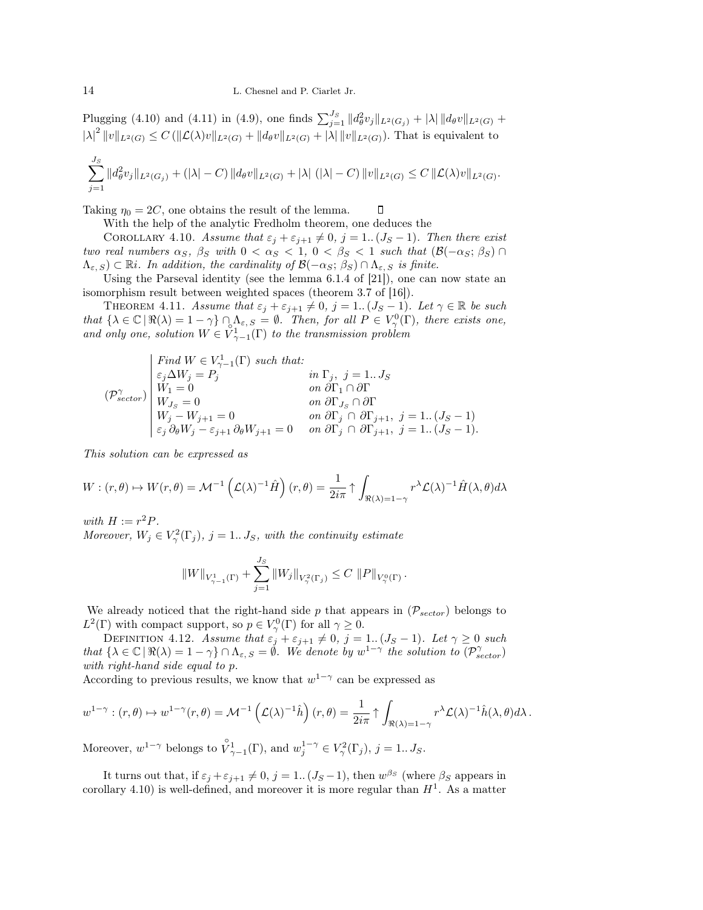Plugging (4.10) and (4.11) in (4.9), one finds  $\sum_{j=1}^{J_S} ||d_{\theta}^2 v_j||_{L^2(G_j)} + |\lambda| ||d_{\theta} v||_{L^2(G)} +$  $|\lambda|^2 ||v||_{L^2(G)} \leq C (||\mathcal{L}(\lambda)v||_{L^2(G)} + ||d_{\theta}v||_{L^2(G)} + |\lambda|||v||_{L^2(G)})$ . That is equivalent to

$$
\sum_{j=1}^{J_S} ||d_{\theta}^2 v_j||_{L^2(G_j)} + (|\lambda| - C) ||d_{\theta}v||_{L^2(G)} + |\lambda| (|\lambda| - C) ||v||_{L^2(G)} \leq C ||\mathcal{L}(\lambda)v||_{L^2(G)}.
$$

 $\Box$ 

Taking  $\eta_0 = 2C$ , one obtains the result of the lemma.

With the help of the analytic Fredholm theorem, one deduces the

COROLLARY 4.10. Assume that  $\varepsilon_j + \varepsilon_{j+1} \neq 0$ ,  $j = 1..(J_S - 1)$ . Then there exist two real numbers  $\alpha_S$ ,  $\beta_S$  with  $0 < \alpha_S < 1$ ,  $0 < \beta_S < 1$  such that  $(\mathcal{B}(-\alpha_S; \beta_S) \cap$  $(\Lambda_{\varepsilon, S}) \subset \mathbb{R}$ *i*. In addition, the cardinality of  $\mathcal{B}(-\alpha_S; \beta_S) \cap \Lambda_{\varepsilon, S}$  is finite.

Using the Parseval identity (see the lemma 6.1.4 of [21]), one can now state an isomorphism result between weighted spaces (theorem 3.7 of [16]).

THEOREM 4.11. Assume that  $\varepsilon_j + \varepsilon_{j+1} \neq 0$ ,  $j = 1..(J_S - 1)$ . Let  $\gamma \in \mathbb{R}$  be such that  $\{\lambda \in \mathbb{C} \mid \Re(\lambda) = 1 - \gamma\} \cap \Lambda_{\varepsilon, S} = \emptyset$ . Then, for all  $P \in V_{\gamma}^{0}(\Gamma)$ , there exists one, and only one, solution  $W \in V_{\gamma-1}^1(\Gamma)$  to the transmission problem

$$
(\mathcal{P}_{sector}^{\gamma})\begin{bmatrix} Find \ W \in V_{\gamma-1}^1(\Gamma) \ such \ that: \\ \varepsilon_j \Delta W_j = P_j & in \ \Gamma_j, \ j=1...J_S \\ W_1 = 0 & on \ \partial \Gamma_1 \cap \partial \Gamma \\ W_{J_S} = 0 & on \ \partial \Gamma_{J_S} \cap \partial \Gamma \\ W_j - W_{j+1} = 0 & on \ \partial \Gamma_j \cap \partial \Gamma_{j+1}, \ j=1..(J_S-1) \\ \varepsilon_j \ \partial_\theta W_j - \varepsilon_{j+1} \ \partial_\theta W_{j+1} = 0 & on \ \partial \Gamma_j \cap \partial \Gamma_{j+1}, \ j=1..(J_S-1). \end{bmatrix}
$$

This solution can be expressed as

$$
W: (r, \theta) \mapsto W(r, \theta) = \mathcal{M}^{-1}\left(\mathcal{L}(\lambda)^{-1}\hat{H}\right)(r, \theta) = \frac{1}{2i\pi} \uparrow \int_{\Re(\lambda) = 1-\gamma} r^{\lambda} \mathcal{L}(\lambda)^{-1} \hat{H}(\lambda, \theta) d\lambda
$$

with  $H := r^2 P$ .

Moreover,  $W_j \in V_\gamma^2(\Gamma_j)$ ,  $j = 1...J_S$ , with the continuity estimate

$$
||W||_{V_{\gamma-1}^1(\Gamma)} + \sum_{j=1}^{J_S} ||W_j||_{V_{\gamma}^2(\Gamma_j)} \leq C ||P||_{V_{\gamma}^0(\Gamma)}.
$$

We already noticed that the right-hand side p that appears in  $(\mathcal{P}_{sector})$  belongs to  $L^2(\Gamma)$  with compact support, so  $p \in V_\gamma^0(\Gamma)$  for all  $\gamma \geq 0$ .

DEFINITION 4.12. Assume that  $\varepsilon_j + \varepsilon_{j+1} \neq 0$ ,  $j = 1..(J_S - 1)$ . Let  $\gamma \geq 0$  such that  $\{\lambda \in \mathbb{C} \mid \Re(\lambda) = 1 - \gamma\} \cap \Lambda_{\varepsilon, S} = \emptyset$ . We denote by  $w^{1-\gamma}$  the solution to  $(\mathcal{P}_{sector}^{\gamma})$ with right-hand side equal to p.

According to previous results, we know that  $w^{1-\gamma}$  can be expressed as

$$
w^{1-\gamma} : (r,\theta) \mapsto w^{1-\gamma}(r,\theta) = \mathcal{M}^{-1}\left(\mathcal{L}(\lambda)^{-1}\hat{h}\right)(r,\theta) = \frac{1}{2i\pi} \uparrow \int_{\Re(\lambda) = 1-\gamma} r^{\lambda} \mathcal{L}(\lambda)^{-1} \hat{h}(\lambda,\theta) d\lambda.
$$

Moreover,  $w^{1-\gamma}$  belongs to  $\mathring{V}_{\gamma-1}^1(\Gamma)$ , and  $w_j^{1-\gamma} \in V_\gamma^2(\Gamma_j)$ ,  $j = 1...J_S$ .

It turns out that, if  $\varepsilon_j + \varepsilon_{j+1} \neq 0$ ,  $j = 1$ .. $(J_S - 1)$ , then  $w^{\beta_S}$  (where  $\beta_S$  appears in corollary 4.10) is well-defined, and moreover it is more regular than  $H<sup>1</sup>$ . As a matter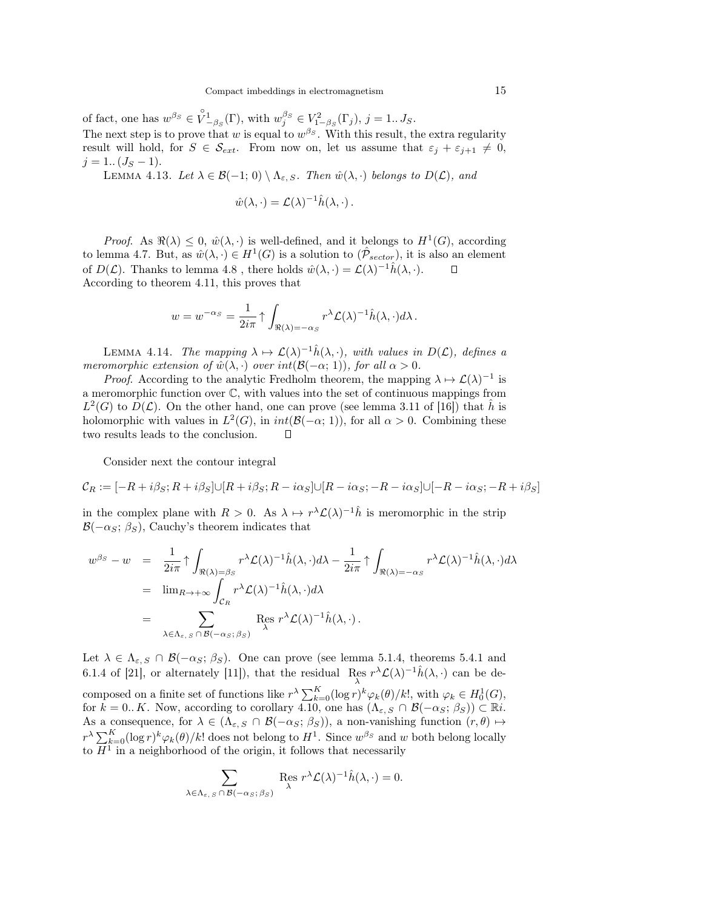of fact, one has  $w^{\beta_S} \in \overset{\circ}{V}{}^1_{-\beta_S}(\Gamma)$ , with  $w^{\beta_S}_j \in V^2_{1-\beta_S}(\Gamma_j)$ ,  $j = 1...J_S$ . The next step is to prove that w is equal to  $w^{\beta_S}$ . With this result, the extra regularity result will hold, for  $S \in \mathcal{S}_{ext}$ . From now on, let us assume that  $\varepsilon_j + \varepsilon_{j+1} \neq 0$ ,  $j = 1$ ..  $(J_S - 1)$ .

LEMMA 4.13. Let  $\lambda \in \mathcal{B}(-1; 0) \setminus \Lambda_{\varepsilon, S}$ . Then  $\hat{w}(\lambda, \cdot)$  belongs to  $D(\mathcal{L})$ , and

$$
\hat{w}(\lambda, \cdot) = \mathcal{L}(\lambda)^{-1} \hat{h}(\lambda, \cdot).
$$

*Proof.* As  $\Re(\lambda) \leq 0$ ,  $\hat{w}(\lambda, \cdot)$  is well-defined, and it belongs to  $H^1(G)$ , according to lemma 4.7. But, as  $\hat{w}(\lambda, \cdot) \in H^1(G)$  is a solution to  $(\hat{\mathcal{P}}_{sector})$ , it is also an element of  $D(\mathcal{L})$ . Thanks to lemma 4.8, there holds  $\hat{w}(\lambda, \cdot) = \mathcal{L}(\lambda)^{-1} \hat{h}(\lambda, \cdot)$ . According to theorem 4.11, this proves that

$$
w = w^{-\alpha_S} = \frac{1}{2i\pi} \uparrow \int_{\Re(\lambda) = -\alpha_S} r^{\lambda} \mathcal{L}(\lambda)^{-1} \hat{h}(\lambda, \cdot) d\lambda.
$$

LEMMA 4.14. The mapping  $\lambda \mapsto \mathcal{L}(\lambda)^{-1} \hat{h}(\lambda, \cdot)$ , with values in  $D(\mathcal{L})$ , defines a meromorphic extension of  $\hat{w}(\lambda, \cdot)$  over  $int(\mathcal{B}(-\alpha; 1)),$  for all  $\alpha > 0$ .

*Proof.* According to the analytic Fredholm theorem, the mapping  $\lambda \mapsto \mathcal{L}(\lambda)^{-1}$  is a meromorphic function over C, with values into the set of continuous mappings from  $L^2(G)$  to  $D(\mathcal{L})$ . On the other hand, one can prove (see lemma 3.11 of [16]) that  $\hat{h}$  is holomorphic with values in  $L^2(G)$ , in  $int(\mathcal{B}(-\alpha; 1))$ , for all  $\alpha > 0$ . Combining these two results leads to the conclusion.  $\Box$ 

Consider next the contour integral

$$
\mathcal{C}_R:=[-R+i\beta_S;R+i\beta_S]\cup[R+i\beta_S;R-i\alpha_S]\cup[R-i\alpha_S;-R-i\alpha_S]\cup[-R-i\alpha_S;-R+i\beta_S]
$$

in the complex plane with  $R > 0$ . As  $\lambda \mapsto r^{\lambda} \mathcal{L}(\lambda)^{-1} \hat{h}$  is meromorphic in the strip  $\mathcal{B}(-\alpha_S; \beta_S)$ , Cauchy's theorem indicates that

$$
w^{\beta_S} - w = \frac{1}{2i\pi} \uparrow \int_{\Re(\lambda) = \beta_S} r^{\lambda} \mathcal{L}(\lambda)^{-1} \hat{h}(\lambda, \cdot) d\lambda - \frac{1}{2i\pi} \uparrow \int_{\Re(\lambda) = -\alpha_S} r^{\lambda} \mathcal{L}(\lambda)^{-1} \hat{h}(\lambda, \cdot) d\lambda
$$
  
\n
$$
= \lim_{\lambda \in \Lambda_{\varepsilon, S} \cap \mathcal{B}(-\alpha_S; \beta_S)} \operatorname{Res}_{\lambda} r^{\lambda} \mathcal{L}(\lambda)^{-1} \hat{h}(\lambda, \cdot) d\lambda
$$

Let  $\lambda \in \Lambda_{\varepsilon,S} \cap \mathcal{B}(-\alpha_S;\beta_S)$ . One can prove (see lemma 5.1.4, theorems 5.4.1 and 6.1.4 of [21], or alternately [11]), that the residual Res  $r^{\lambda} \mathcal{L}(\lambda)^{-1} \hat{h}(\lambda, \cdot)$  can be deλ composed on a finite set of functions like  $r^{\lambda} \sum_{k=0}^{K} (\log r)^{k} \varphi_k(\theta)/k!$ , with  $\varphi_k \in H_0^1(G)$ , for  $k = 0.. K$ . Now, according to corollary 4.10, one has  $(\Lambda_{\varepsilon, S} \cap \mathcal{B}(-\alpha_S; \beta_S)) \subset \mathbb{R}i$ . As a consequence, for  $\lambda \in (\Lambda_{\varepsilon, S} \cap \mathcal{B}(-\alpha_S; \beta_S))$ , a non-vanishing function  $(r, \theta) \mapsto$  $r^{\lambda} \sum_{k=0}^{K} (\log r)^{k} \varphi_k(\theta)/k!$  does not belong to  $H^1$ . Since  $w^{\beta_S}$  and w both belong locally to  $H^1$  in a neighborhood of the origin, it follows that necessarily

$$
\sum_{\lambda \in \Lambda_{\varepsilon, S} \cap \mathcal{B}(-\alpha_S; \beta_S)} \operatorname{Res}_{\lambda} r^{\lambda} \mathcal{L}(\lambda)^{-1} \hat{h}(\lambda, \cdot) = 0.
$$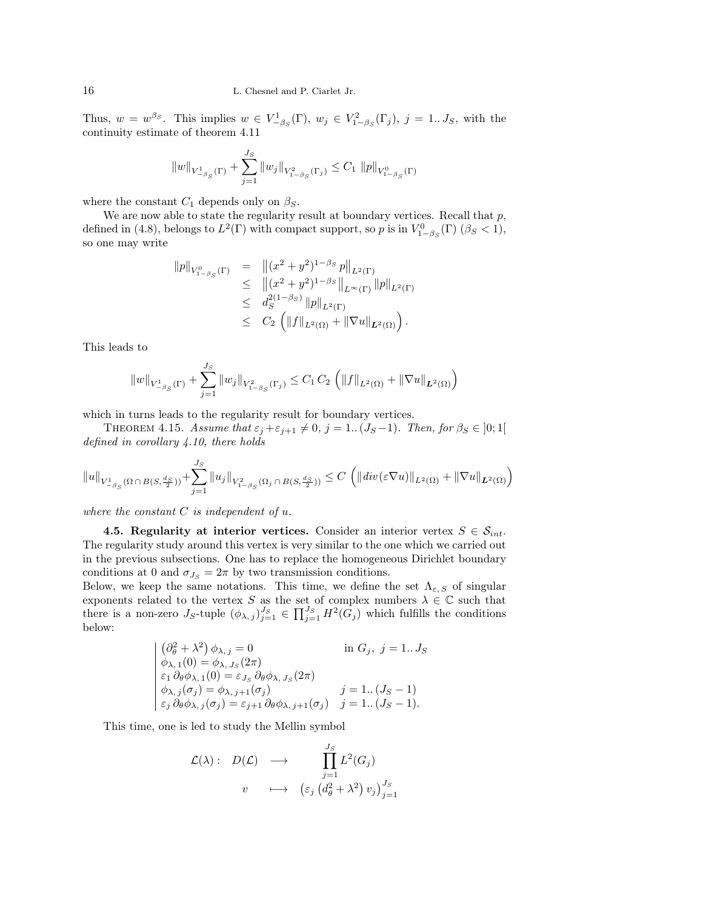Thus,  $w = w^{\beta_S}$ . This implies  $w \in V_{-\beta_S}^1(\Gamma)$ ,  $w_j \in V_{1-\beta_S}^2(\Gamma_j)$ ,  $j = 1...J_S$ , with the continuity estimate of theorem 4.11

$$
||w||_{V_{-\beta_S}^1(\Gamma)} + \sum_{j=1}^{J_S} ||w_j||_{V_{1-\beta_S}^2(\Gamma_j)} \leq C_1 ||p||_{V_{1-\beta_S}^0(\Gamma)}
$$

where the constant  $C_1$  depends only on  $\beta_S$ .

We are now able to state the regularity result at boundary vertices. Recall that  $p$ , defined in (4.8), belongs to  $L^2(\Gamma)$  with compact support, so p is in  $V^0_{1-\beta_S}(\Gamma)$  ( $\beta_S < 1$ ), so one may write

$$
||p||_{V_{1-\beta_{S}}^{0}(\Gamma)} = ||(x^{2} + y^{2})^{1-\beta_{S}} p||_{L^{2}(\Gamma)}
$$
  
\n
$$
\leq ||(x^{2} + y^{2})^{1-\beta_{S}}||_{L^{\infty}(\Gamma)} ||p||_{L^{2}(\Gamma)}
$$
  
\n
$$
\leq d_{S}^{2(1-\beta_{S})} ||p||_{L^{2}(\Gamma)}
$$
  
\n
$$
\leq C_{2} (||f||_{L^{2}(\Omega)} + ||\nabla u||_{L^{2}(\Omega)}).
$$

This leads to

$$
||w||_{V_{-\beta_S}^1(\Gamma)} + \sum_{j=1}^{J_S} ||w_j||_{V_{1-\beta_S}^2(\Gamma_j)} \leq C_1 C_2 \left( ||f||_{L^2(\Omega)} + ||\nabla u||_{L^2(\Omega)} \right)
$$

which in turns leads to the regularity result for boundary vertices.

THEOREM 4.15. Assume that  $\varepsilon_j + \varepsilon_{j+1} \neq 0$ ,  $j = 1$ .  $(J_S - 1)$ . Then, for  $\beta_S \in ]0;1[$ defined in corollary 4.10, there holds

$$
\|u\|_{V_{-\beta_S}^1(\Omega\,\cap\, B(S,\frac{d_S}{2}))}+\sum_{j=1}^{J_S}\|u_j\|_{V_{1-\beta_S}^2(\Omega_j\,\cap\, B(S,\frac{d_S}{2}))}\leq C\,\left(\|\operatorname{div}(\varepsilon\nabla u)\|_{L^2(\Omega)}+\|\nabla u\|_{L^2(\Omega)}\right)
$$

where the constant  $C$  is independent of  $u$ .

4.5. Regularity at interior vertices. Consider an interior vertex  $S \in \mathcal{S}_{int}$ . The regularity study around this vertex is very similar to the one which we carried out in the previous subsections. One has to replace the homogeneous Dirichlet boundary conditions at 0 and  $\sigma_{J_S} = 2\pi$  by two transmission conditions.

Below, we keep the same notations. This time, we define the set  $\Lambda_{\varepsilon, S}$  of singular exponents related to the vertex S as the set of complex numbers  $\lambda \in \mathbb{C}$  such that there is a non-zero  $J_S$ -tuple  $(\phi_{\lambda,j})_{j=1}^{J_S} \in \prod_{j=1}^{J_S} H^2(G_j)$  which fulfills the conditions below:

$$
\begin{cases}\n(\partial_{\theta}^{2} + \lambda^{2}) \phi_{\lambda, j} = 0 & \text{in } G_{j}, j = 1..J_{S} \\
\phi_{\lambda, 1}(0) = \phi_{\lambda, J_{S}}(2\pi) \\
\varepsilon_{1} \partial_{\theta} \phi_{\lambda, 1}(0) = \varepsilon_{J_{S}} \partial_{\theta} \phi_{\lambda, J_{S}}(2\pi) \\
\phi_{\lambda, j}(\sigma_{j}) = \phi_{\lambda, j+1}(\sigma_{j}) & j = 1..(J_{S} - 1) \\
\varepsilon_{j} \partial_{\theta} \phi_{\lambda, j}(\sigma_{j}) = \varepsilon_{j+1} \partial_{\theta} \phi_{\lambda, j+1}(\sigma_{j}) & j = 1..(J_{S} - 1).\n\end{cases}
$$

This time, one is led to study the Mellin symbol

$$
\mathcal{L}(\lambda): D(\mathcal{L}) \longrightarrow \prod_{j=1}^{J_S} L^2(G_j)
$$
  

$$
v \longrightarrow (\varepsilon_j (d_{\theta}^2 + \lambda^2) v_j)_{j=1}^{J_S}
$$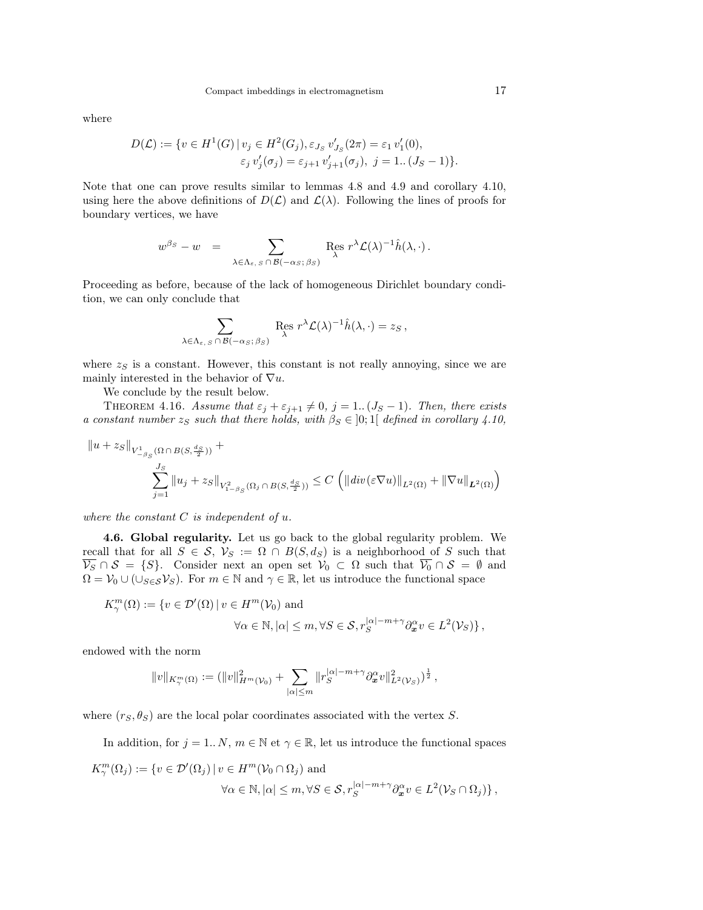where

$$
D(\mathcal{L}) := \{ v \in H^1(G) \mid v_j \in H^2(G_j), \varepsilon_{J_S} v'_{J_S}(2\pi) = \varepsilon_1 v'_1(0), \varepsilon_j v'_j(\sigma_j) = \varepsilon_{j+1} v'_{j+1}(\sigma_j), \ j = 1..(J_S - 1) \}.
$$

Note that one can prove results similar to lemmas 4.8 and 4.9 and corollary 4.10, using here the above definitions of  $D(\mathcal{L})$  and  $\mathcal{L}(\lambda)$ . Following the lines of proofs for boundary vertices, we have

$$
w^{\beta_S}-w\;\;=\;\; \sum_{\lambda\in \Lambda_{\varepsilon,\;S}\,\cap\,\mathcal{B}(-\alpha_S;\,\beta_S)}\;{\mathop{\rm Res}}_{\lambda}\;r^\lambda\mathcal{L}(\lambda)^{-1}\hat{h}(\lambda,\cdot)\,.
$$

Proceeding as before, because of the lack of homogeneous Dirichlet boundary condition, we can only conclude that

$$
\sum_{\lambda \in \Lambda_{\varepsilon, S} \cap \mathcal{B}(-\alpha_S; \beta_S)} \operatorname{Res}_{\lambda} r^{\lambda} \mathcal{L}(\lambda)^{-1} \hat{h}(\lambda, \cdot) = z_S,
$$

where  $z_S$  is a constant. However, this constant is not really annoying, since we are mainly interested in the behavior of  $\nabla u$ .

We conclude by the result below.

THEOREM 4.16. Assume that  $\varepsilon_j + \varepsilon_{j+1} \neq 0$ ,  $j = 1..(J_S - 1)$ . Then, there exists a constant number  $z_S$  such that there holds, with  $\beta_S \in [0;1]$  defined in corollary 4.10,

$$
||u + z_{S}||_{V_{-\beta_{S}}^{1}(\Omega \cap B(S, \frac{ds}{2}))} + \sum_{j=1}^{J_{S}} ||u_{j} + z_{S}||_{V_{1-\beta_{S}}^{2}(\Omega_{j} \cap B(S, \frac{ds}{2}))} \leq C \left( ||div(\varepsilon \nabla u)||_{L^{2}(\Omega)} + ||\nabla u||_{L^{2}(\Omega)} \right)
$$

where the constant  $C$  is independent of  $u$ .

4.6. Global regularity. Let us go back to the global regularity problem. We recall that for all  $S \in \mathcal{S}$ ,  $\mathcal{V}_S := \Omega \cap B(S, d_S)$  is a neighborhood of S such that  $\overline{\mathcal{V}_S} \cap \mathcal{S} = \{S\}.$  Consider next an open set  $\mathcal{V}_0 \subset \Omega$  such that  $\overline{\mathcal{V}_0} \cap \mathcal{S} = \emptyset$  and  $\Omega = V_0 \cup (\cup_{S \in \mathcal{S}} V_S)$ . For  $m \in \mathbb{N}$  and  $\gamma \in \mathbb{R}$ , let us introduce the functional space

$$
K_{\gamma}^{m}(\Omega) := \{ v \in \mathcal{D}'(\Omega) \mid v \in H^{m}(\mathcal{V}_{0}) \text{ and}
$$
  

$$
\forall \alpha \in \mathbb{N}, |\alpha| \leq m, \forall S \in \mathcal{S}, r_{S}^{|\alpha| - m + \gamma} \partial_{\boldsymbol{x}}^{\alpha} v \in L^{2}(\mathcal{V}_{S}) \},
$$

endowed with the norm

$$
||v||_{K^m_\gamma(\Omega)} := (||v||^2_{H^m(\mathcal{V}_0)} + \sum_{|\alpha| \leq m} ||r_S^{|\alpha|-m+\gamma} \partial_x^{\alpha} v||^2_{L^2(\mathcal{V}_S)})^{\frac{1}{2}},
$$

where  $(r<sub>S</sub>, \theta<sub>S</sub>)$  are the local polar coordinates associated with the vertex S.

In addition, for  $j = 1..N$ ,  $m \in \mathbb{N}$  et  $\gamma \in \mathbb{R}$ , let us introduce the functional spaces

$$
K_{\gamma}^{m}(\Omega_{j}) := \{ v \in \mathcal{D}'(\Omega_{j}) \, | \, v \in H^{m}(\mathcal{V}_{0} \cap \Omega_{j}) \text{ and}
$$

$$
\forall \alpha \in \mathbb{N}, |\alpha| \leq m, \forall S \in \mathcal{S}, r_{S}^{|\alpha| - m + \gamma} \partial_{\bm{x}}^{\alpha} v \in L^{2}(\mathcal{V}_{S} \cap \Omega_{j}) \},
$$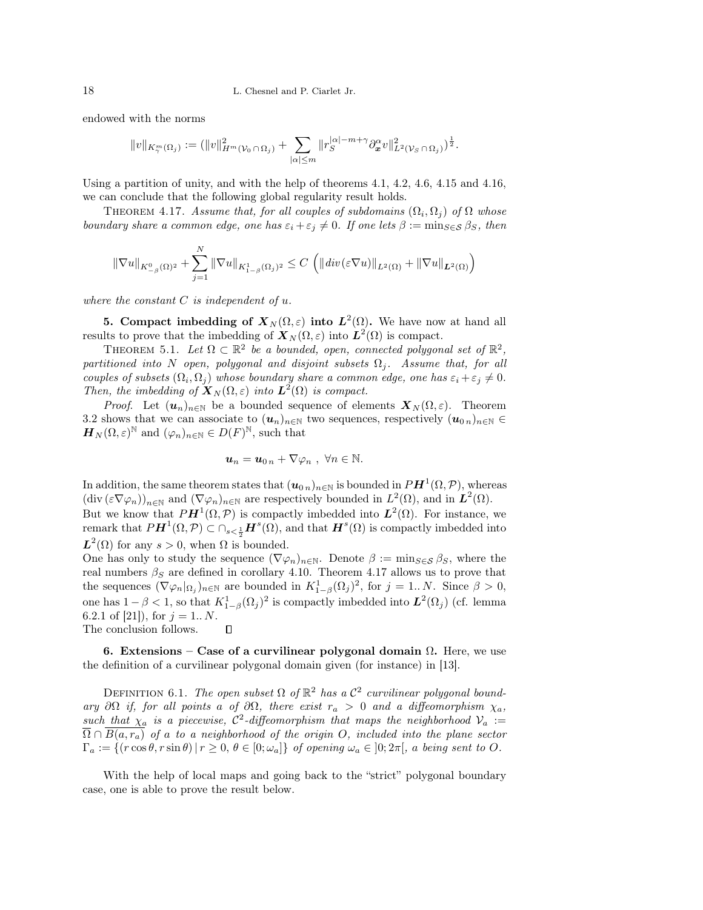endowed with the norms

$$
||v||_{K^m_\gamma(\Omega_j)} := (||v||^2_{H^m(\mathcal{V}_0 \cap \Omega_j)} + \sum_{|\alpha| \leq m} ||r_S^{|\alpha|-m+\gamma} \partial_x^{\alpha} v||^2_{L^2(\mathcal{V}_S \cap \Omega_j)})^{\frac{1}{2}}.
$$

Using a partition of unity, and with the help of theorems 4.1, 4.2, 4.6, 4.15 and 4.16, we can conclude that the following global regularity result holds.

THEOREM 4.17. Assume that, for all couples of subdomains  $(\Omega_i, \Omega_j)$  of  $\Omega$  whose boundary share a common edge, one has  $\varepsilon_i + \varepsilon_j \neq 0$ . If one lets  $\beta := \min_{S \in \mathcal{S}} \beta_S$ , then

$$
\|\nabla u\|_{K^0_{-\beta}(\Omega)^2} + \sum_{j=1}^N \|\nabla u\|_{K^1_{1-\beta}(\Omega_j)^2} \le C \left( \|\operatorname{div}(\varepsilon \nabla u)\|_{L^2(\Omega)} + \|\nabla u\|_{L^2(\Omega)} \right)
$$

where the constant  $C$  is independent of  $u$ .

**5.** Compact imbedding of  $X_N(\Omega, \varepsilon)$  into  $L^2(\Omega)$ . We have now at hand all results to prove that the imbedding of  $\mathbf{X}_N(\Omega,\varepsilon)$  into  $\mathbf{L}^2(\Omega)$  is compact.

THEOREM 5.1. Let  $\Omega \subset \mathbb{R}^2$  be a bounded, open, connected polygonal set of  $\mathbb{R}^2$ , partitioned into N open, polygonal and disjoint subsets  $\Omega_i$ . Assume that, for all couples of subsets  $(\Omega_i, \Omega_j)$  whose boundary share a common edge, one has  $\varepsilon_i + \varepsilon_j \neq 0$ . Then, the imbedding of  $\mathbf{X}_N(\Omega,\varepsilon)$  into  $\mathbf{L}^2(\Omega)$  is compact.

*Proof.* Let  $(u_n)_{n\in\mathbb{N}}$  be a bounded sequence of elements  $X_N(\Omega, \varepsilon)$ . Theorem 3.2 shows that we can associate to  $(u_n)_{n\in\mathbb{N}}$  two sequences, respectively  $(u_{0n})_{n\in\mathbb{N}}\in$  $\boldsymbol{H}_N(\Omega,\varepsilon)^{\mathbb{N}}$  and  $(\varphi_n)_{n\in\mathbb{N}}\in D(F)^{\mathbb{N}},$  such that

$$
u_n = u_{0n} + \nabla \varphi_n , \ \forall n \in \mathbb{N}.
$$

In addition, the same theorem states that  $(\boldsymbol{u}_{0\,n})_{n\in\mathbb{N}}$  is bounded in  $PH^1(\Omega,\mathcal{P})$ , whereas  $(\text{div}(\varepsilon \nabla \varphi_n))_{n \in \mathbb{N}}$  and  $(\nabla \varphi_n)_{n \in \mathbb{N}}$  are respectively bounded in  $L^2(\Omega)$ , and in  $L^2(\Omega)$ . But we know that  $PH^1(\Omega, \mathcal{P})$  is compactly imbedded into  $L^2(\Omega)$ . For instance, we remark that  $P\bm{H}^1(\Omega,\mathcal{P})\subset \cap_{s<\frac{1}{2}}\bm{H}^s(\Omega)$ , and that  $\bm{H}^s(\Omega)$  is compactly imbedded into

 $L^2(\Omega)$  for any  $s > 0$ , when  $\Omega$  is bounded.

One has only to study the sequence  $(\nabla \varphi_n)_{n\in\mathbb{N}}$ . Denote  $\beta := \min_{S \in \mathcal{S}} \beta_S$ , where the real numbers  $\beta_S$  are defined in corollary 4.10. Theorem 4.17 allows us to prove that the sequences  $(\nabla \varphi_n|_{\Omega_j})_{n\in\mathbb{N}}$  are bounded in  $K^1_{1-\beta}(\Omega_j)^2$ , for  $j=1...N$ . Since  $\beta>0$ , one has  $1 - \beta < 1$ , so that  $K^1_{1-\beta}(\Omega_j)^2$  is compactly imbedded into  $\mathbf{L}^2(\Omega_j)$  (cf. lemma 6.2.1 of [21]), for  $j = 1..N$ .  $\Box$ 

The conclusion follows.

6. Extensions – Case of a curvilinear polygonal domain  $\Omega$ . Here, we use the definition of a curvilinear polygonal domain given (for instance) in [13].

DEFINITION 6.1. The open subset  $\Omega$  of  $\mathbb{R}^2$  has a  $\mathcal{C}^2$  curvilinear polygonal boundary ∂Ω if, for all points a of  $\partial\Omega$ , there exist  $r_a > 0$  and a diffeomorphism  $\chi_a$ , such that  $\chi_a$  is a piecewise,  $\mathcal{C}^2$ -diffeomorphism that maps the neighborhood  $\mathcal{V}_a :=$  $\overline{\Omega} \cap \overline{B(a,r_a)}$  of a to a neighborhood of the origin O, included into the plane sector  $\Gamma_a := \{(r \cos \theta, r \sin \theta) | r \geq 0, \theta \in [0; \omega_a]\}$  of opening  $\omega_a \in [0; 2\pi]$ , a being sent to O.

With the help of local maps and going back to the "strict" polygonal boundary case, one is able to prove the result below.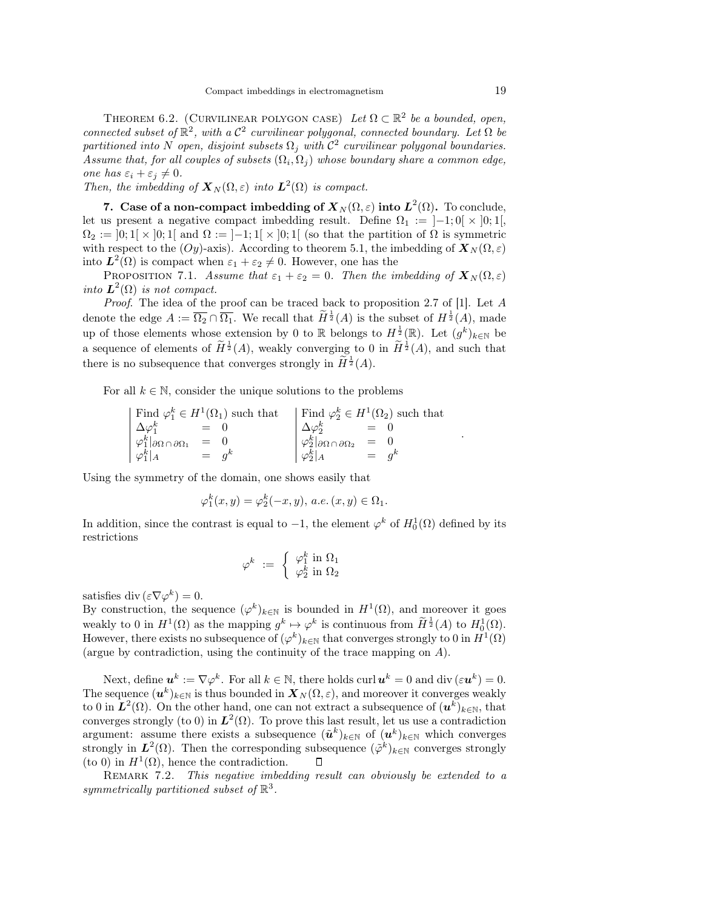THEOREM 6.2. (CURVILINEAR POLYGON CASE) Let  $\Omega \subset \mathbb{R}^2$  be a bounded, open, connected subset of  $\mathbb{R}^2$ , with a  $\mathcal{C}^2$  curvilinear polygonal, connected boundary. Let  $\Omega$  be partitioned into N open, disjoint subsets  $\Omega_j$  with  $\mathcal{C}^2$  curvilinear polygonal boundaries. Assume that, for all couples of subsets  $(\Omega_i, \Omega_j)$  whose boundary share a common edge, one has  $\varepsilon_i + \varepsilon_j \neq 0$ .

Then, the imbedding of  $\mathbf{X}_N(\Omega,\varepsilon)$  into  $\mathbf{L}^2(\Omega)$  is compact.

7. Case of a non-compact imbedding of  ${\pmb X}_N(\Omega,\varepsilon)$  into  ${\pmb L}^2(\Omega)$ . To conclude, let us present a negative compact imbedding result. Define  $\Omega_1 := [-1; 0] \times [0; 1]$ ,  $\Omega_2 := [0; 1] \times [0; 1]$  and  $\Omega := [-1; 1] \times [0; 1]$  (so that the partition of  $\Omega$  is symmetric with respect to the (Oy)-axis). According to theorem 5.1, the imbedding of  $\mathbf{X}_{N}(\Omega,\varepsilon)$ into  $L^2(\Omega)$  is compact when  $\varepsilon_1 + \varepsilon_2 \neq 0$ . However, one has the

PROPOSITION 7.1. Assume that  $\varepsilon_1 + \varepsilon_2 = 0$ . Then the imbedding of  $\mathbf{X}_N(\Omega, \varepsilon)$ into  $L^2(\Omega)$  is not compact.

Proof. The idea of the proof can be traced back to proposition 2.7 of [1]. Let A denote the edge  $A := \overline{\Omega_2} \cap \overline{\Omega_1}$ . We recall that  $\widetilde{H}^{\frac{1}{2}}(A)$  is the subset of  $H^{\frac{1}{2}}(A)$ , made up of those elements whose extension by 0 to R belongs to  $H^{\frac{1}{2}}(\mathbb{R})$ . Let  $(g^k)_{k\in\mathbb{N}}$  be a sequence of elements of  $\widetilde{H}^{\frac{1}{2}}(A)$ , weakly converging to 0 in  $\widetilde{H}^{\frac{1}{2}}(A)$ , and such that there is no subsequence that converges strongly in  $\widetilde{H}^{\frac{1}{2}}(A)$ .

For all  $k \in \mathbb{N}$ , consider the unique solutions to the problems

$$
\begin{array}{ccc}\n\text{Find } \varphi_1^k \in H^1(\Omega_1) \text{ such that} \\
\Delta \varphi_1^k & = & 0 \\
\varphi_1^k |_{\partial \Omega \cap \partial \Omega_1} & = & 0 \\
\varphi_1^k |_{A} & = & g^k\n\end{array}\n\quad\n\begin{array}{c}\n\text{Find } \varphi_2^k \in H^1(\Omega_2) \text{ such that} \\
\Delta \varphi_2^k & = & 0 \\
\varphi_2^k |_{\partial \Omega \cap \partial \Omega_2} & = & 0 \\
\varphi_2^k |_{A} & = & g^k\n\end{array}
$$

Using the symmetry of the domain, one shows easily that

$$
\varphi_1^k(x,y) = \varphi_2^k(-x,y), \ a.e. \ (x,y) \in \Omega_1.
$$

In addition, since the contrast is equal to  $-1$ , the element  $\varphi^k$  of  $H_0^1(\Omega)$  defined by its restrictions

$$
\varphi^k \ := \ \left\{ \begin{array}{c} \varphi_1^k \ \text{in} \ \Omega_1 \\ \varphi_2^k \ \text{in} \ \Omega_2 \end{array} \right.
$$

satisfies div  $(\varepsilon \nabla \varphi^k) = 0$ .

By construction, the sequence  $(\varphi^k)_{k\in\mathbb{N}}$  is bounded in  $H^1(\Omega)$ , and moreover it goes weakly to 0 in  $H^1(\Omega)$  as the mapping  $g^k \mapsto \varphi^k$  is continuous from  $\widetilde{H}^{\frac{1}{2}}(A)$  to  $H_0^1(\Omega)$ . However, there exists no subsequence of  $(\varphi^k)_{k \in \mathbb{N}}$  that converges strongly to 0 in  $H^1(\Omega)$ (argue by contradiction, using the continuity of the trace mapping on A).

Next, define  $u^k := \nabla \varphi^k$ . For all  $k \in \mathbb{N}$ , there holds curl  $u^k = 0$  and div  $(\varepsilon u^k) = 0$ . The sequence  $(\bm{u}^k)_{k\in\mathbb{N}}$  is thus bounded in  $\bm{X}_N(\Omega,\varepsilon)$ , and moreover it converges weakly to 0 in  $L^2(\Omega)$ . On the other hand, one can not extract a subsequence of  $(u^k)_{k\in\mathbb{N}}$ , that converges strongly (to 0) in  $L^2(\Omega)$ . To prove this last result, let us use a contradiction argument: assume there exists a subsequence  $(\tilde{u}^k)_{k \in \mathbb{N}}$  of  $(u^k)_{k \in \mathbb{N}}$  which converges strongly in  $L^2(\Omega)$ . Then the corresponding subsequence  $({\tilde{\varphi}}^k)_{k\in\mathbb{N}}$  converges strongly (to 0) in  $H^1(\Omega)$ , hence the contradiction.  $\Box$ 

REMARK 7.2. This negative imbedding result can obviously be extended to a symmetrically partitioned subset of  $\mathbb{R}^3$ .

.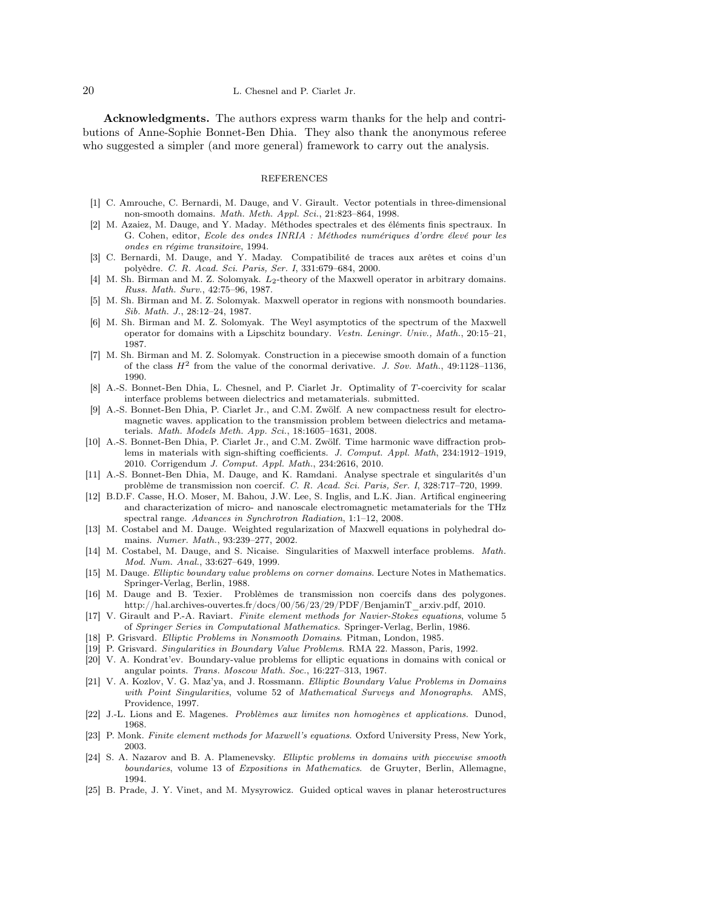### 20 L. Chesnel and P. Ciarlet Jr.

Acknowledgments. The authors express warm thanks for the help and contributions of Anne-Sophie Bonnet-Ben Dhia. They also thank the anonymous referee who suggested a simpler (and more general) framework to carry out the analysis.

# REFERENCES

- [1] C. Amrouche, C. Bernardi, M. Dauge, and V. Girault. Vector potentials in three-dimensional non-smooth domains. Math. Meth. Appl. Sci., 21:823–864, 1998.
- [2] M. Azaiez, M. Dauge, and Y. Maday. Méthodes spectrales et des éléments finis spectraux. In G. Cohen, editor, Ecole des ondes INRIA : Méthodes numériques d'ordre élevé pour les ondes en régime transitoire, 1994.
- [3] C. Bernardi, M. Dauge, and Y. Maday. Compatibilité de traces aux arêtes et coins d'un polyèdre. C. R. Acad. Sci. Paris, Ser. I, 331:679–684, 2000.
- [4] M. Sh. Birman and M. Z. Solomyak.  $L_2$ -theory of the Maxwell operator in arbitrary domains. Russ. Math. Surv., 42:75–96, 1987.
- [5] M. Sh. Birman and M. Z. Solomyak. Maxwell operator in regions with nonsmooth boundaries. Sib. Math. J., 28:12–24, 1987.
- [6] M. Sh. Birman and M. Z. Solomyak. The Weyl asymptotics of the spectrum of the Maxwell operator for domains with a Lipschitz boundary. Vestn. Leningr. Univ., Math., 20:15–21, 1987.
- [7] M. Sh. Birman and M. Z. Solomyak. Construction in a piecewise smooth domain of a function of the class  $H^2$  from the value of the conormal derivative. J. Sov. Math., 49:1128-1136, 1990.
- [8] A.-S. Bonnet-Ben Dhia, L. Chesnel, and P. Ciarlet Jr. Optimality of T-coercivity for scalar interface problems between dielectrics and metamaterials. submitted.
- [9] A.-S. Bonnet-Ben Dhia, P. Ciarlet Jr., and C.M. Zwölf. A new compactness result for electromagnetic waves. application to the transmission problem between dielectrics and metamaterials. Math. Models Meth. App. Sci., 18:1605–1631, 2008.
- [10] A.-S. Bonnet-Ben Dhia, P. Ciarlet Jr., and C.M. Zwölf. Time harmonic wave diffraction problems in materials with sign-shifting coefficients. J. Comput. Appl. Math, 234:1912–1919, 2010. Corrigendum J. Comput. Appl. Math., 234:2616, 2010.
- [11] A.-S. Bonnet-Ben Dhia, M. Dauge, and K. Ramdani. Analyse spectrale et singularités d'un problème de transmission non coercif. C. R. Acad. Sci. Paris, Ser. I, 328:717–720, 1999.
- [12] B.D.F. Casse, H.O. Moser, M. Bahou, J.W. Lee, S. Inglis, and L.K. Jian. Artifical engineering and characterization of micro- and nanoscale electromagnetic metamaterials for the THz spectral range. Advances in Synchrotron Radiation, 1:1–12, 2008.
- [13] M. Costabel and M. Dauge. Weighted regularization of Maxwell equations in polyhedral domains. Numer. Math., 93:239–277, 2002.
- [14] M. Costabel, M. Dauge, and S. Nicaise. Singularities of Maxwell interface problems. Math. Mod. Num. Anal., 33:627–649, 1999.
- [15] M. Dauge. Elliptic boundary value problems on corner domains. Lecture Notes in Mathematics. Springer-Verlag, Berlin, 1988.
- [16] M. Dauge and B. Texier. Problèmes de transmission non coercifs dans des polygones. http://hal.archives-ouvertes.fr/docs/00/56/23/29/PDF/BenjaminT\_arxiv.pdf, 2010.
- [17] V. Girault and P.-A. Raviart. Finite element methods for Navier-Stokes equations, volume 5 of Springer Series in Computational Mathematics. Springer-Verlag, Berlin, 1986.
- [18] P. Grisvard. Elliptic Problems in Nonsmooth Domains. Pitman, London, 1985.
- [19] P. Grisvard. Singularities in Boundary Value Problems. RMA 22. Masson, Paris, 1992.
- [20] V. A. Kondrat'ev. Boundary-value problems for elliptic equations in domains with conical or angular points. Trans. Moscow Math. Soc., 16:227–313, 1967.
- [21] V. A. Kozlov, V. G. Maz'ya, and J. Rossmann. Elliptic Boundary Value Problems in Domains with Point Singularities, volume 52 of Mathematical Surveys and Monographs. AMS, Providence, 1997.
- [22] J.-L. Lions and E. Magenes. Problèmes aux limites non homogènes et applications. Dunod, 1968.
- [23] P. Monk. Finite element methods for Maxwell's equations. Oxford University Press, New York, 2003.
- [24] S. A. Nazarov and B. A. Plamenevsky. Elliptic problems in domains with piecewise smooth boundaries, volume 13 of Expositions in Mathematics. de Gruyter, Berlin, Allemagne, 1994.
- [25] B. Prade, J. Y. Vinet, and M. Mysyrowicz. Guided optical waves in planar heterostructures